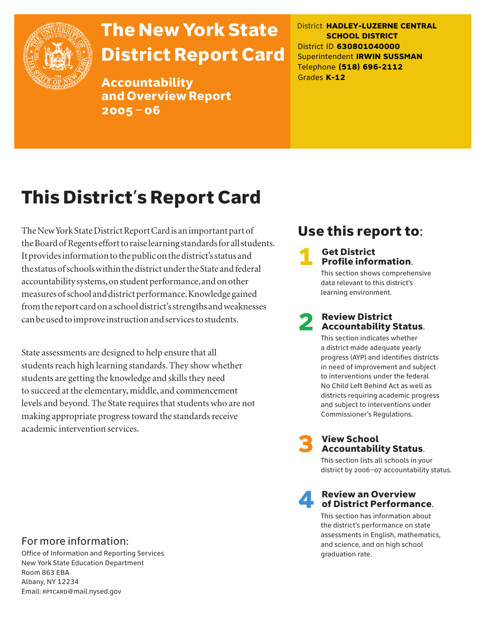

# The New York State District Report Card

Accountability and Overview Report 2005–06

District **HADLEY-LUZERNE CENTRAL SCHOOL DISTRICT** District ID **630801040000** Superintendent **IRWIN SUSSMAN** Telephone **(518) 696-2112** Grades **K-12**

# This District's Report Card

The New York State District Report Card is an important part of the Board of Regents effort to raise learning standards for all students. It provides information to the public on the district's status and the status of schools within the district under the State and federal accountability systems, on student performance, and on other measures of school and district performance. Knowledge gained from the report card on a school district's strengths and weaknesses can be used to improve instruction and services to students.

State assessments are designed to help ensure that all students reach high learning standards. They show whether students are getting the knowledge and skills they need to succeed at the elementary, middle, and commencement levels and beyond. The State requires that students who are not making appropriate progress toward the standards receive academic intervention services.

### Use this report to:

# **1** Get District<br>**Profile information.**

This section shows comprehensive data relevant to this district's learning environment.

# **2** Review District<br>Accountability Status.

This section indicates whether a district made adequate yearly progress (AYP) and identifies districts in need of improvement and subject to interventions under the federal No Child Left Behind Act as well as districts requiring academic progress and subject to interventions under Commissioner's Regulations.



# **3** View School<br>Accountability Status.

This section lists all schools in your district by 2006–07 accountability status.

# **A** Review an Overview<br>
of District Performance.

This section has information about the district's performance on state assessments in English, mathematics, and science, and on high school graduation rate.

### For more information:

Office of Information and Reporting Services New York State Education Department Room 863 EBA Albany, NY 12234 Email: RPTCARD@mail.nysed.gov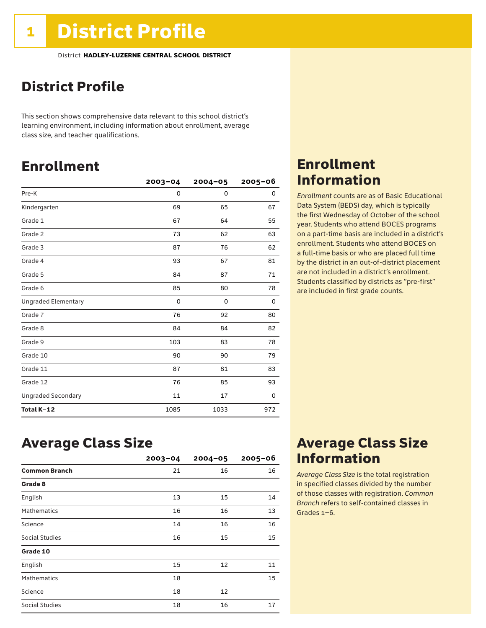### District Profile

This section shows comprehensive data relevant to this school district's learning environment, including information about enrollment, average class size, and teacher qualifications.

### Enrollment

|                            | $2003 - 04$ | $2004 - 05$ | $2005 - 06$ |
|----------------------------|-------------|-------------|-------------|
| Pre-K                      | 0           | 0           | 0           |
| Kindergarten               | 69          | 65          | 67          |
| Grade 1                    | 67          | 64          | 55          |
| Grade 2                    | 73          | 62          | 63          |
| Grade 3                    | 87          | 76          | 62          |
| Grade 4                    | 93          | 67          | 81          |
| Grade 5                    | 84          | 87          | 71          |
| Grade 6                    | 85          | 80          | 78          |
| <b>Ungraded Elementary</b> | $\mathbf 0$ | 0           | 0           |
| Grade 7                    | 76          | 92          | 80          |
| Grade 8                    | 84          | 84          | 82          |
| Grade 9                    | 103         | 83          | 78          |
| Grade 10                   | 90          | 90          | 79          |
| Grade 11                   | 87          | 81          | 83          |
| Grade 12                   | 76          | 85          | 93          |
| <b>Ungraded Secondary</b>  | 11          | 17          | 0           |
| Total K-12                 | 1085        | 1033        | 972         |

### Enrollment Information

*Enrollment* counts are as of Basic Educational Data System (BEDS) day, which is typically the first Wednesday of October of the school year. Students who attend BOCES programs on a part-time basis are included in a district's enrollment. Students who attend BOCES on a full-time basis or who are placed full time by the district in an out-of-district placement are not included in a district's enrollment. Students classified by districts as "pre-first" are included in first grade counts.

### Average Class Size

|                       | $2003 - 04$ | $2004 - 05$ | $2005 - 06$ |
|-----------------------|-------------|-------------|-------------|
| <b>Common Branch</b>  | 21          | 16          | 16          |
| Grade 8               |             |             |             |
| English               | 13          | 15          | 14          |
| <b>Mathematics</b>    | 16          | 16          | 13          |
| Science               | 14          | 16          | 16          |
| <b>Social Studies</b> | 16          | 15          | 15          |
| Grade 10              |             |             |             |
| English               | 15          | 12          | 11          |
| <b>Mathematics</b>    | 18          |             | 15          |
| Science               | 18          | 12          |             |
| <b>Social Studies</b> | 18          | 16          | 17          |

### Average Class Size Information

*Average Class Size* is the total registration in specified classes divided by the number of those classes with registration. *Common Branch* refers to self-contained classes in Grades 1–6.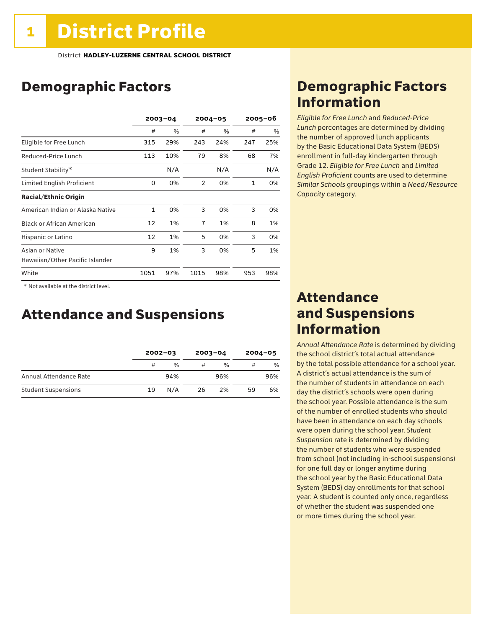### Demographic Factors

|                                  | $2003 - 04$  |     | $2004 - 05$    |      | $2005 - 06$  |      |
|----------------------------------|--------------|-----|----------------|------|--------------|------|
|                                  | #            | %   | #              | $\%$ | #            | $\%$ |
| Eligible for Free Lunch          | 315          | 29% | 243            | 24%  | 247          | 25%  |
| Reduced-Price Lunch              | 113          | 10% | 79             | 8%   | 68           | 7%   |
| Student Stability*               |              | N/A |                | N/A  |              | N/A  |
| Limited English Proficient       | 0            | 0%  | $\mathfrak{p}$ | 0%   | $\mathbf{1}$ | 0%   |
| <b>Racial/Ethnic Origin</b>      |              |     |                |      |              |      |
| American Indian or Alaska Native | $\mathbf{1}$ | 0%  | 3              | 0%   | 3            | 0%   |
| <b>Black or African American</b> | 12           | 1%  | $\overline{7}$ | 1%   | 8            | 1%   |
| Hispanic or Latino               | 12           | 1%  | 5              | 0%   | 3            | 0%   |
| Asian or Native                  | 9            | 1%  | 3              | 0%   | 5            | 1%   |
| Hawaiian/Other Pacific Islander  |              |     |                |      |              |      |
| White                            | 1051         | 97% | 1015           | 98%  | 953          | 98%  |

 \* Not available at the district level.

### Attendance and Suspensions

|                            |    | $2002 - 03$   |    | $2003 - 04$   | $2004 - 05$ |     |
|----------------------------|----|---------------|----|---------------|-------------|-----|
|                            | #  | $\frac{0}{0}$ | #  | $\frac{1}{2}$ | #           | %   |
| Annual Attendance Rate     |    | 94%           |    | 96%           |             | 96% |
| <b>Student Suspensions</b> | 19 | N/A           | 26 | 2%            | 59          | 6%  |

### Demographic Factors Information

*Eligible for Free Lunch* and *Reduced*-*Price Lunch* percentages are determined by dividing the number of approved lunch applicants by the Basic Educational Data System (BEDS) enrollment in full-day kindergarten through Grade 12. *Eligible for Free Lunch* and *Limited English Proficient* counts are used to determine *Similar Schools* groupings within a *Need*/*Resource Capacity* category.

### Attendance and Suspensions Information

*Annual Attendance Rate* is determined by dividing the school district's total actual attendance by the total possible attendance for a school year. A district's actual attendance is the sum of the number of students in attendance on each day the district's schools were open during the school year. Possible attendance is the sum of the number of enrolled students who should have been in attendance on each day schools were open during the school year. *Student Suspension* rate is determined by dividing the number of students who were suspended from school (not including in-school suspensions) for one full day or longer anytime during the school year by the Basic Educational Data System (BEDS) day enrollments for that school year. A student is counted only once, regardless of whether the student was suspended one or more times during the school year.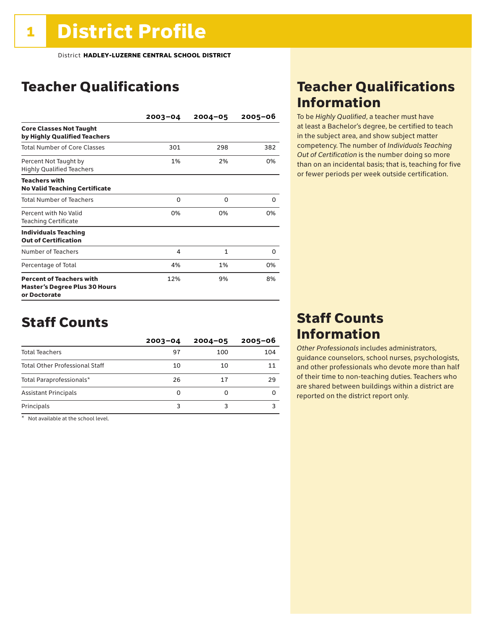### Teacher Qualifications

|                                                                                         | $2003 - 04$ | $2004 - 05$ | $2005 - 06$ |
|-----------------------------------------------------------------------------------------|-------------|-------------|-------------|
| <b>Core Classes Not Taught</b><br>by Highly Qualified Teachers                          |             |             |             |
| <b>Total Number of Core Classes</b>                                                     | 301         | 298         | 382         |
| Percent Not Taught by<br><b>Highly Qualified Teachers</b>                               | 1%          | 2%          | 0%          |
| <b>Teachers with</b><br><b>No Valid Teaching Certificate</b>                            |             |             |             |
| <b>Total Number of Teachers</b>                                                         | 0           | O           | 0           |
| Percent with No Valid<br><b>Teaching Certificate</b>                                    | 0%          | 0%          | በ%          |
| <b>Individuals Teaching</b><br><b>Out of Certification</b>                              |             |             |             |
| Number of Teachers                                                                      | 4           | 1           | 0           |
| Percentage of Total                                                                     | 4%          | 1%          | 0%          |
| <b>Percent of Teachers with</b><br><b>Master's Degree Plus 30 Hours</b><br>or Doctorate | 12%         | 9%          | 8%          |

### Staff Counts

|                                       | $2003 - 04$ | $2004 - 05$ | $2005 - 06$ |
|---------------------------------------|-------------|-------------|-------------|
| <b>Total Teachers</b>                 | 97          | 100         | 104         |
| <b>Total Other Professional Staff</b> | 10          | 10          | 11          |
| Total Paraprofessionals*              | 26          | 17          | 29          |
| <b>Assistant Principals</b>           | 0           | O           |             |
| Principals                            | 3           |             |             |

\* Not available at the school level.

### Teacher Qualifications Information

To be *Highly Qualified*, a teacher must have at least a Bachelor's degree, be certified to teach in the subject area, and show subject matter competency. The number of *Individuals Teaching Out of Certification* is the number doing so more than on an incidental basis; that is, teaching for five or fewer periods per week outside certification.

### Staff Counts Information

*Other Professionals* includes administrators, guidance counselors, school nurses, psychologists, and other professionals who devote more than half of their time to non-teaching duties. Teachers who are shared between buildings within a district are reported on the district report only.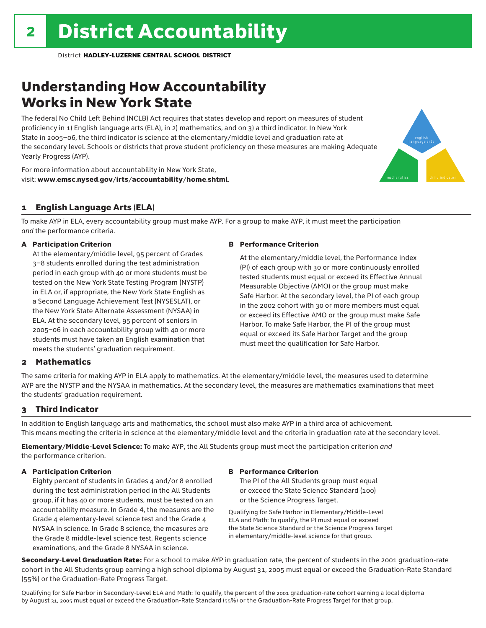### Understanding How Accountability Works in New York State

The federal No Child Left Behind (NCLB) Act requires that states develop and report on measures of student proficiency in 1) English language arts (ELA), in 2) mathematics, and on 3) a third indicator. In New York State in 2005–06, the third indicator is science at the elementary/middle level and graduation rate at the secondary level. Schools or districts that prove student proficiency on these measures are making Adequate Yearly Progress (AYP).

For more information about accountability in New York State, visit: www.emsc.nysed.gov/irts/accountability/home.shtml.

### 1 English Language Arts (ELA)

To make AYP in ELA, every accountability group must make AYP. For a group to make AYP, it must meet the participation *and* the performance criteria.

#### A Participation Criterion

At the elementary/middle level, 95 percent of Grades 3–8 students enrolled during the test administration period in each group with 40 or more students must be tested on the New York State Testing Program (NYSTP) in ELA or, if appropriate, the New York State English as a Second Language Achievement Test (NYSESLAT), or the New York State Alternate Assessment (NYSAA) in ELA. At the secondary level, 95 percent of seniors in 2005–06 in each accountability group with 40 or more students must have taken an English examination that meets the students' graduation requirement.

#### B Performance Criterion

At the elementary/middle level, the Performance Index (PI) of each group with 30 or more continuously enrolled tested students must equal or exceed its Effective Annual Measurable Objective (AMO) or the group must make Safe Harbor. At the secondary level, the PI of each group in the 2002 cohort with 30 or more members must equal or exceed its Effective AMO or the group must make Safe Harbor. To make Safe Harbor, the PI of the group must equal or exceed its Safe Harbor Target and the group must meet the qualification for Safe Harbor.

english language arts

mathematics **third indicator** 

#### 2 Mathematics

The same criteria for making AYP in ELA apply to mathematics. At the elementary/middle level, the measures used to determine AYP are the NYSTP and the NYSAA in mathematics. At the secondary level, the measures are mathematics examinations that meet the students' graduation requirement.

#### 3 Third Indicator

In addition to English language arts and mathematics, the school must also make AYP in a third area of achievement. This means meeting the criteria in science at the elementary/middle level and the criteria in graduation rate at the secondary level.

Elementary/Middle-Level Science: To make AYP, the All Students group must meet the participation criterion *and* the performance criterion.

#### A Participation Criterion

Eighty percent of students in Grades 4 and/or 8 enrolled during the test administration period in the All Students group, if it has 40 or more students, must be tested on an accountability measure. In Grade 4, the measures are the Grade 4 elementary-level science test and the Grade 4 NYSAA in science. In Grade 8 science, the measures are the Grade 8 middle-level science test, Regents science examinations, and the Grade 8 NYSAA in science.

#### B Performance Criterion

The PI of the All Students group must equal or exceed the State Science Standard (100) or the Science Progress Target.

Qualifying for Safe Harbor in Elementary/Middle-Level ELA and Math: To qualify, the PI must equal or exceed the State Science Standard or the Science Progress Target in elementary/middle-level science for that group.

Secondary-Level Graduation Rate: For a school to make AYP in graduation rate, the percent of students in the 2001 graduation-rate cohort in the All Students group earning a high school diploma by August 31, 2005 must equal or exceed the Graduation-Rate Standard (55%) or the Graduation-Rate Progress Target.

Qualifying for Safe Harbor in Secondary-Level ELA and Math: To qualify, the percent of the 2001 graduation-rate cohort earning a local diploma by August 31, 2005 must equal or exceed the Graduation-Rate Standard (55%) or the Graduation-Rate Progress Target for that group.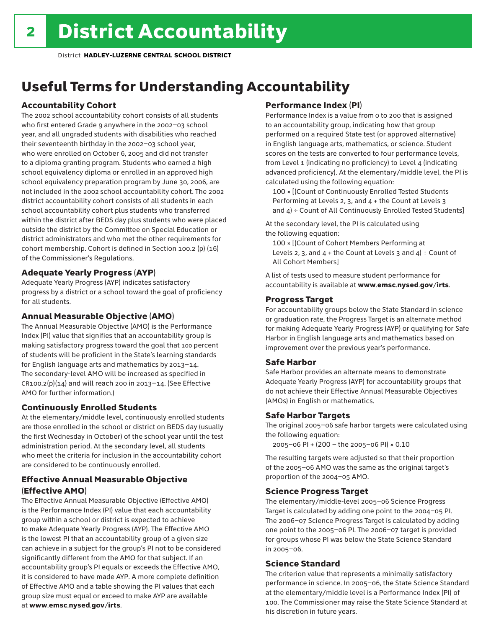### Useful Terms for Understanding Accountability

#### Accountability Cohort

The 2002 school accountability cohort consists of all students who first entered Grade 9 anywhere in the 2002–03 school year, and all ungraded students with disabilities who reached their seventeenth birthday in the 2002–03 school year, who were enrolled on October 6, 2005 and did not transfer to a diploma granting program. Students who earned a high school equivalency diploma or enrolled in an approved high school equivalency preparation program by June 30, 2006, are not included in the 2002 school accountability cohort. The 2002 district accountability cohort consists of all students in each school accountability cohort plus students who transferred within the district after BEDS day plus students who were placed outside the district by the Committee on Special Education or district administrators and who met the other requirements for cohort membership. Cohort is defined in Section 100.2 (p) (16) of the Commissioner's Regulations.

#### Adequate Yearly Progress (AYP)

Adequate Yearly Progress (AYP) indicates satisfactory progress by a district or a school toward the goal of proficiency for all students.

#### Annual Measurable Objective (AMO)

The Annual Measurable Objective (AMO) is the Performance Index (PI) value that signifies that an accountability group is making satisfactory progress toward the goal that 100 percent of students will be proficient in the State's learning standards for English language arts and mathematics by 2013–14. The secondary-level AMO will be increased as specified in  $CR100.2(p)(14)$  and will reach 200 in 2013-14. (See Effective AMO for further information.)

#### Continuously Enrolled Students

At the elementary/middle level, continuously enrolled students are those enrolled in the school or district on BEDS day (usually the first Wednesday in October) of the school year until the test administration period. At the secondary level, all students who meet the criteria for inclusion in the accountability cohort are considered to be continuously enrolled.

#### Effective Annual Measurable Objective (Effective AMO)

The Effective Annual Measurable Objective (Effective AMO) is the Performance Index (PI) value that each accountability group within a school or district is expected to achieve to make Adequate Yearly Progress (AYP). The Effective AMO is the lowest PI that an accountability group of a given size can achieve in a subject for the group's PI not to be considered significantly different from the AMO for that subject. If an accountability group's PI equals or exceeds the Effective AMO, it is considered to have made AYP. A more complete definition of Effective AMO and a table showing the PI values that each group size must equal or exceed to make AYP are available at www.emsc.nysed.gov/irts.

#### Performance Index (PI)

Performance Index is a value from 0 to 200 that is assigned to an accountability group, indicating how that group performed on a required State test (or approved alternative) in English language arts, mathematics, or science. Student scores on the tests are converted to four performance levels, from Level 1 (indicating no proficiency) to Level 4 (indicating advanced proficiency). At the elementary/middle level, the PI is calculated using the following equation:

100 × [(Count of Continuously Enrolled Tested Students Performing at Levels 2, 3, and 4 + the Count at Levels 3 and  $4$ ) ÷ Count of All Continuously Enrolled Tested Students]

At the secondary level, the PI is calculated using the following equation:

100 × [(Count of Cohort Members Performing at Levels 2, 3, and  $4 +$  the Count at Levels 3 and  $4$ ) ÷ Count of All Cohort Members]

A list of tests used to measure student performance for accountability is available at www.emsc.nysed.gov/irts.

#### Progress Target

For accountability groups below the State Standard in science or graduation rate, the Progress Target is an alternate method for making Adequate Yearly Progress (AYP) or qualifying for Safe Harbor in English language arts and mathematics based on improvement over the previous year's performance.

#### Safe Harbor

Safe Harbor provides an alternate means to demonstrate Adequate Yearly Progress (AYP) for accountability groups that do not achieve their Effective Annual Measurable Objectives (AMOs) in English or mathematics.

#### Safe Harbor Targets

The original 2005–06 safe harbor targets were calculated using the following equation:

2005–06 PI + (200 – the 2005–06 PI) × 0.10

The resulting targets were adjusted so that their proportion of the 2005–06 AMO was the same as the original target's proportion of the 2004–05 AMO.

#### Science Progress Target

The elementary/middle-level 2005–06 Science Progress Target is calculated by adding one point to the 2004–05 PI. The 2006–07 Science Progress Target is calculated by adding one point to the 2005–06 PI. The 2006–07 target is provided for groups whose PI was below the State Science Standard in 2005–06.

#### Science Standard

The criterion value that represents a minimally satisfactory performance in science. In 2005–06, the State Science Standard at the elementary/middle level is a Performance Index (PI) of 100. The Commissioner may raise the State Science Standard at his discretion in future years.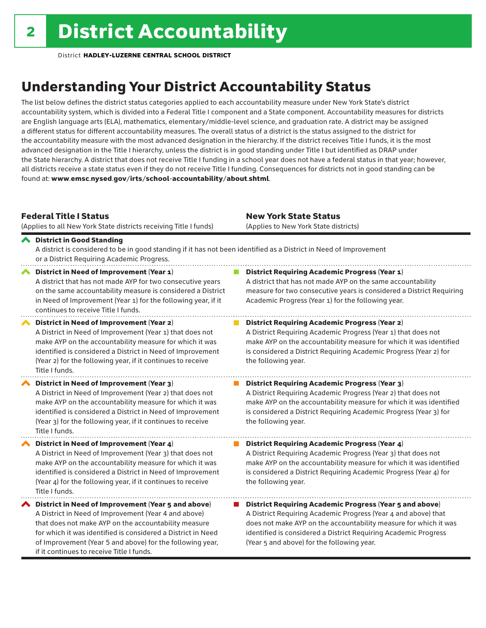## Understanding Your District Accountability Status

The list below defines the district status categories applied to each accountability measure under New York State's district accountability system, which is divided into a Federal Title I component and a State component. Accountability measures for districts are English language arts (ELA), mathematics, elementary/middle-level science, and graduation rate. A district may be assigned a different status for different accountability measures. The overall status of a district is the status assigned to the district for the accountability measure with the most advanced designation in the hierarchy. If the district receives Title I funds, it is the most advanced designation in the Title I hierarchy, unless the district is in good standing under Title I but identified as DRAP under the State hierarchy. A district that does not receive Title I funding in a school year does not have a federal status in that year; however, all districts receive a state status even if they do not receive Title I funding. Consequences for districts not in good standing can be found at: www.emsc.nysed.gov/irts/school-accountability/about.shtml.

#### Federal Title I Status

New York State Status

|   | (Applies to all New York State districts receiving Title I funds)                                                                                                                                                                                                                                                                            | (Applies to New York State districts)                                                                                                                                                                                                                                                                                 |
|---|----------------------------------------------------------------------------------------------------------------------------------------------------------------------------------------------------------------------------------------------------------------------------------------------------------------------------------------------|-----------------------------------------------------------------------------------------------------------------------------------------------------------------------------------------------------------------------------------------------------------------------------------------------------------------------|
|   | ← District in Good Standing<br>A district is considered to be in good standing if it has not been identified as a District in Need of Improvement<br>or a District Requiring Academic Progress.                                                                                                                                              |                                                                                                                                                                                                                                                                                                                       |
|   | District in Need of Improvement (Year 1)<br>A district that has not made AYP for two consecutive years<br>on the same accountability measure is considered a District<br>in Need of Improvement (Year 1) for the following year, if it<br>continues to receive Title I funds.                                                                | <b>District Requiring Academic Progress (Year 1)</b><br>A district that has not made AYP on the same accountability<br>measure for two consecutive years is considered a District Requiring<br>Academic Progress (Year 1) for the following year.                                                                     |
|   | <b>District in Need of Improvement (Year 2)</b><br>A District in Need of Improvement (Year 1) that does not<br>make AYP on the accountability measure for which it was<br>identified is considered a District in Need of Improvement<br>(Year 2) for the following year, if it continues to receive<br>Title I funds.                        | <b>District Requiring Academic Progress (Year 2)</b><br>A District Requiring Academic Progress (Year 1) that does not<br>make AYP on the accountability measure for which it was identified<br>is considered a District Requiring Academic Progress (Year 2) for<br>the following year.                               |
|   | District in Need of Improvement (Year 3)<br>A District in Need of Improvement (Year 2) that does not<br>make AYP on the accountability measure for which it was<br>identified is considered a District in Need of Improvement<br>(Year 3) for the following year, if it continues to receive<br>Title I funds.                               | <b>District Requiring Academic Progress (Year 3)</b><br>A District Requiring Academic Progress (Year 2) that does not<br>make AYP on the accountability measure for which it was identified<br>is considered a District Requiring Academic Progress (Year 3) for<br>the following year.                               |
|   | District in Need of Improvement (Year 4)<br>A District in Need of Improvement (Year 3) that does not<br>make AYP on the accountability measure for which it was<br>identified is considered a District in Need of Improvement<br>(Year 4) for the following year, if it continues to receive<br>Title I funds.                               | District Requiring Academic Progress (Year 4)<br>A District Requiring Academic Progress (Year 3) that does not<br>make AYP on the accountability measure for which it was identified<br>is considered a District Requiring Academic Progress (Year 4) for<br>the following year.                                      |
| ∧ | District in Need of Improvement (Year 5 and above)<br>A District in Need of Improvement (Year 4 and above)<br>that does not make AYP on the accountability measure<br>for which it was identified is considered a District in Need<br>of Improvement (Year 5 and above) for the following year,<br>if it continues to receive Title I funds. | <b>District Requiring Academic Progress (Year 5 and above)</b><br>A District Requiring Academic Progress (Year 4 and above) that<br>does not make AYP on the accountability measure for which it was<br>identified is considered a District Requiring Academic Progress<br>(Year 5 and above) for the following year. |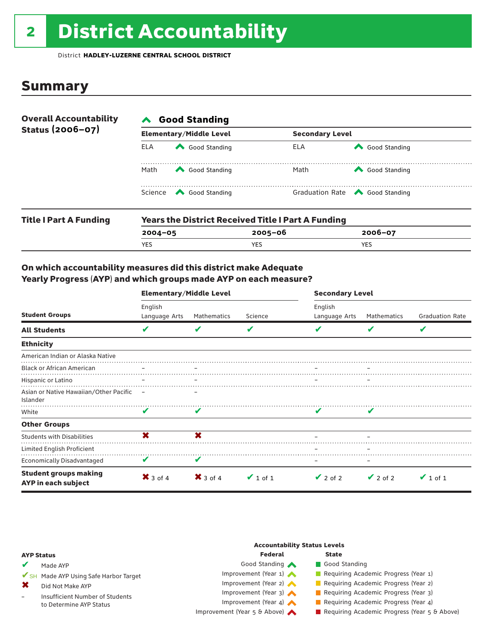# 2 District Accountability

District **HADLEY-LUZERNE CENTRAL SCHOOL DISTRICT**

### **Summary**

| <b>Overall Accountability</b><br>Status (2006-07) | <b>Good Standing</b> |                                                                                                                                                                                                                                                                                                                                                                       |                        |                                                       |  |  |  |
|---------------------------------------------------|----------------------|-----------------------------------------------------------------------------------------------------------------------------------------------------------------------------------------------------------------------------------------------------------------------------------------------------------------------------------------------------------------------|------------------------|-------------------------------------------------------|--|--|--|
|                                                   |                      | <b>Elementary/Middle Level</b>                                                                                                                                                                                                                                                                                                                                        | <b>Secondary Level</b> |                                                       |  |  |  |
|                                                   | <b>ELA</b>           | Good Standing                                                                                                                                                                                                                                                                                                                                                         | ELA                    | Good Standing                                         |  |  |  |
|                                                   | Math                 | Good Standing                                                                                                                                                                                                                                                                                                                                                         | Math                   | Good Standing                                         |  |  |  |
|                                                   |                      | Science <a> Science</a> Science Science Science <a> Science <a> Science <a> Science <a> Science <a> Science <a> Science <a> Science <a> Science <a> Science <a> Science <a> Science <a<br></a<br> Science <a> Science <a<br <="" td=""><td></td><td>Graduation Rate <a> Good Standing</a> Graduation Rate</td></a<br></a></a></a></a></a></a></a></a></a></a></a></a> |                        | Graduation Rate <a> Good Standing</a> Graduation Rate |  |  |  |
| <b>Title I Part A Funding</b>                     |                      | <b>Years the District Received Title I Part A Funding</b>                                                                                                                                                                                                                                                                                                             |                        |                                                       |  |  |  |

| ille i Fail A Fullulliy | <b>I call strip District Neceived Title I Fail &amp; FullWilly</b> |            |             |  |  |  |
|-------------------------|--------------------------------------------------------------------|------------|-------------|--|--|--|
|                         | $2004 - 05$                                                        | 2005-06    | $2006 - 07$ |  |  |  |
|                         | <b>YES</b>                                                         | <b>YES</b> | YES         |  |  |  |
|                         |                                                                    |            |             |  |  |  |

#### On which accountability measures did this district make Adequate Yearly Progress (AYP) and which groups made AYP on each measure?

|                                                     | <b>Elementary/Middle Level</b> |                                |               | <b>Secondary Level</b>   |               |                         |  |
|-----------------------------------------------------|--------------------------------|--------------------------------|---------------|--------------------------|---------------|-------------------------|--|
| <b>Student Groups</b>                               | English<br>Language Arts       | Mathematics                    | Science       | English<br>Language Arts | Mathematics   | <b>Graduation Rate</b>  |  |
| <b>All Students</b>                                 | $\overline{\mathbf{v}}$        | V                              | V             | V                        | V             | $\overline{\mathbf{v}}$ |  |
| <b>Ethnicity</b>                                    |                                |                                |               |                          |               |                         |  |
| American Indian or Alaska Native                    |                                |                                |               |                          |               |                         |  |
| <b>Black or African American</b>                    |                                |                                |               |                          |               |                         |  |
| Hispanic or Latino                                  |                                | $\qquad \qquad \longleftarrow$ |               |                          |               |                         |  |
| Asian or Native Hawaiian/Other Pacific<br>Islander  | $\overline{\phantom{a}}$       |                                |               |                          |               |                         |  |
| White                                               | V                              | V                              |               |                          | v             |                         |  |
| <b>Other Groups</b>                                 |                                |                                |               |                          |               |                         |  |
| <b>Students with Disabilities</b>                   | X                              | ×                              |               |                          |               |                         |  |
| Limited English Proficient                          |                                |                                |               |                          |               |                         |  |
| Economically Disadvantaged                          | V                              | V                              |               | -                        |               |                         |  |
| <b>Student groups making</b><br>AYP in each subject | $\mathsf{X}$ 3 of 4            | $\mathsf{X}$ 3 of 4            | $\vee$ 1 of 1 | $\vee$ 2 of 2            | $\vee$ 2 of 2 | $\vee$ 1 of 1           |  |

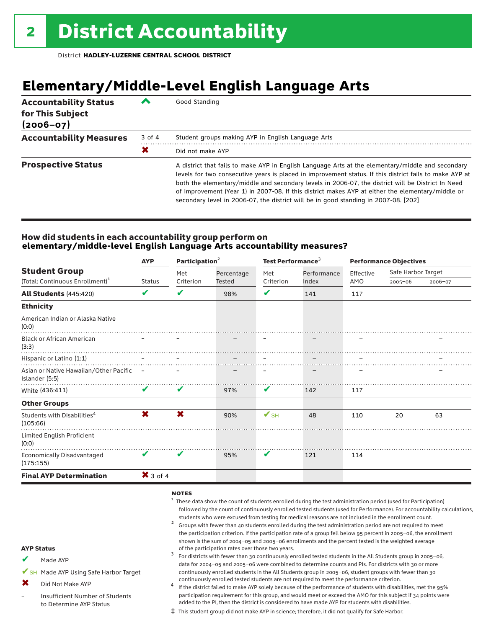### **Elementary/Middle-Level English Language Arts**

| <b>Accountability Status</b><br>for This Subject<br>$(2006 - 07)$ | ∕      | Good Standing                                                                                                                                                                                                                                                                                                                                                                                                                                                                                                 |
|-------------------------------------------------------------------|--------|---------------------------------------------------------------------------------------------------------------------------------------------------------------------------------------------------------------------------------------------------------------------------------------------------------------------------------------------------------------------------------------------------------------------------------------------------------------------------------------------------------------|
| <b>Accountability Measures</b>                                    | 3 of 4 | Student groups making AYP in English Language Arts                                                                                                                                                                                                                                                                                                                                                                                                                                                            |
|                                                                   | X      | Did not make AYP                                                                                                                                                                                                                                                                                                                                                                                                                                                                                              |
| <b>Prospective Status</b>                                         |        | A district that fails to make AYP in English Language Arts at the elementary/middle and secondary<br>levels for two consecutive years is placed in improvement status. If this district fails to make AYP at<br>both the elementary/middle and secondary levels in 2006-07, the district will be District In Need<br>of Improvement (Year 1) in 2007-08. If this district makes AYP at either the elementary/middle or<br>secondary level in 2006-07, the district will be in good standing in 2007-08. [202] |

#### How did students in each accountability group perform on **elementary/middle-level English Language Arts accountability measures?**

|                                                            | <b>AYP</b>          |           | Participation <sup>2</sup> |                          | Test Performance <sup>3</sup> |           | <b>Performance Objectives</b> |         |  |
|------------------------------------------------------------|---------------------|-----------|----------------------------|--------------------------|-------------------------------|-----------|-------------------------------|---------|--|
| <b>Student Group</b>                                       |                     | Met       | Percentage<br>Tested       | Met                      | Performance                   | Effective | Safe Harbor Target            |         |  |
| (Total: Continuous Enrollment) <sup>1</sup>                | Status              | Criterion |                            | Criterion                | Index                         | AMO       | $2005 - 06$                   | 2006-07 |  |
| <b>All Students (445:420)</b>                              | V                   | V         | 98%                        | ✔                        | 141                           | 117       |                               |         |  |
| <b>Ethnicity</b>                                           |                     |           |                            |                          |                               |           |                               |         |  |
| American Indian or Alaska Native<br>(0:0)                  |                     |           |                            |                          |                               |           |                               |         |  |
| <b>Black or African American</b><br>(3:3)                  |                     |           |                            |                          |                               |           |                               |         |  |
| Hispanic or Latino (1:1)                                   |                     |           |                            |                          |                               |           |                               |         |  |
| Asian or Native Hawaiian/Other Pacific -<br>Islander (5:5) |                     |           |                            |                          |                               |           |                               |         |  |
| White (436:411)                                            | V                   | V         | 97%                        | V                        | 142                           | 117       |                               |         |  |
| <b>Other Groups</b>                                        |                     |           |                            |                          |                               |           |                               |         |  |
| Students with Disabilities <sup>4</sup><br>(105:66)        | X                   | X         | 90%                        | $\mathbf{V}_{\text{SH}}$ | 48                            | 110       | 20                            | 63      |  |
| Limited English Proficient<br>(0:0)                        |                     |           |                            |                          |                               |           |                               |         |  |
| <b>Economically Disadvantaged</b><br>(175:155)             | V                   | V         | 95%                        | V                        | 121                           | 114       |                               |         |  |
| <b>Final AYP Determination</b>                             | $\mathsf{X}$ 3 of 4 |           |                            |                          |                               |           |                               |         |  |
|                                                            |                     |           |                            |                          |                               |           |                               |         |  |

#### notes

- $1$  These data show the count of students enrolled during the test administration period (used for Participation) followed by the count of continuously enrolled tested students (used for Performance). For accountability calculations, students who were excused from testing for medical reasons are not included in the enrollment count.<br><sup>2</sup> Groups with fewer than 40 students enrolled during the test administration period are not required to meet
- the participation criterion. If the participation rate of a group fell below 95 percent in 2005–06, the enrollment shown is the sum of 2004–05 and 2005–06 enrollments and the percent tested is the weighted average<br>of the participation rates over those two years.
- of the participation rates over those two years. <sup>3</sup> For districts with fewer than 30 continuously enrolled tested students in the All Students group in 2005–06, data for 2004–05 and 2005–06 were combined to determine counts and PIs. For districts with 30 or more continuously enrolled students in the All Students group in 2005–06, student groups with fewer than 30
- continuously enrolled tested students are not required to meet the performance criterion.<br>If the district failed to make AYP solely because of the performance of students with disabilities, met the 95% participation requirement for this group, and would meet or exceed the AMO for this subject if 34 points were added to the PI, then the district is considered to have made AYP for students with disabilities.
- ‡ This student group did not make AYP in science; therefore, it did not qualify for Safe Harbor.

#### AYP Status

- Made AYP ✔
- ✔SH Made AYP Using Safe Harbor Target
- Did Not Make AYP ✖
- Insufficient Number of Students to Determine AYP Status –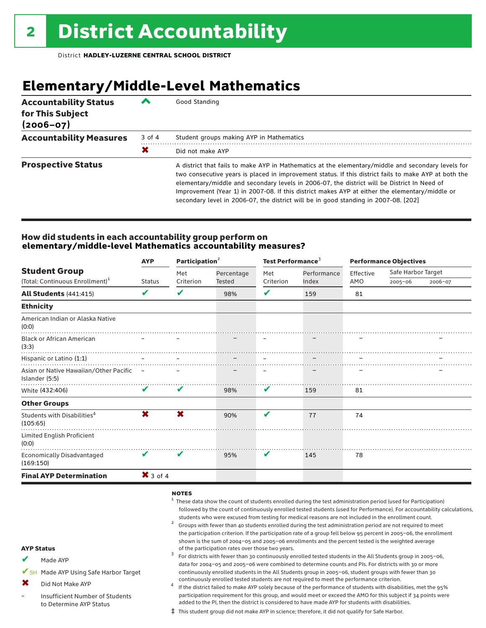### **Elementary/Middle-Level Mathematics**

| <b>Accountability Status</b><br>for This Subject<br>$(2006 - 07)$ | ╱      | Good Standing                                                                                                                                                                                                                                                                                                                                                                                                                                                                                       |
|-------------------------------------------------------------------|--------|-----------------------------------------------------------------------------------------------------------------------------------------------------------------------------------------------------------------------------------------------------------------------------------------------------------------------------------------------------------------------------------------------------------------------------------------------------------------------------------------------------|
| <b>Accountability Measures</b>                                    | 3 of 4 | Student groups making AYP in Mathematics                                                                                                                                                                                                                                                                                                                                                                                                                                                            |
|                                                                   | X      | Did not make AYP                                                                                                                                                                                                                                                                                                                                                                                                                                                                                    |
| <b>Prospective Status</b>                                         |        | A district that fails to make AYP in Mathematics at the elementary/middle and secondary levels for<br>two consecutive years is placed in improvement status. If this district fails to make AYP at both the<br>elementary/middle and secondary levels in 2006-07, the district will be District In Need of<br>Improvement (Year 1) in 2007-08. If this district makes AYP at either the elementary/middle or<br>secondary level in 2006-07, the district will be in good standing in 2007-08. [202] |

#### How did students in each accountability group perform on **elementary/middle-level Mathematics accountability measures?**

|                                                                     | <b>AYP</b>    | Participation <sup>2</sup> |                      | Test Performance <sup>3</sup> |                      | <b>Performance Objectives</b> |                                              |  |
|---------------------------------------------------------------------|---------------|----------------------------|----------------------|-------------------------------|----------------------|-------------------------------|----------------------------------------------|--|
| <b>Student Group</b><br>(Total: Continuous Enrollment) <sup>1</sup> | <b>Status</b> | Met<br>Criterion           | Percentage<br>Tested | Met<br>Criterion              | Performance<br>Index | Effective                     | Safe Harbor Target<br>$2005 - 06$<br>2006-07 |  |
|                                                                     |               |                            |                      |                               |                      | AMO                           |                                              |  |
| <b>All Students (441:415)</b>                                       | V             | V                          | 98%                  | V                             | 159                  | 81                            |                                              |  |
| <b>Ethnicity</b>                                                    |               |                            |                      |                               |                      |                               |                                              |  |
| American Indian or Alaska Native<br>(0:0)                           |               |                            |                      |                               |                      |                               |                                              |  |
| <b>Black or African American</b><br>(3:3)                           |               |                            |                      |                               |                      |                               |                                              |  |
| Hispanic or Latino (1:1)                                            |               |                            |                      |                               |                      |                               |                                              |  |
| Asian or Native Hawaiian/Other Pacific –<br>Islander (5:5)          |               |                            |                      |                               |                      |                               |                                              |  |
| White (432:406)                                                     | V             | V                          | 98%                  | V                             | 159                  | 81                            |                                              |  |
| <b>Other Groups</b>                                                 |               |                            |                      |                               |                      |                               |                                              |  |
| Students with Disabilities <sup>4</sup><br>(105:65)                 | X.            | X                          | 90%                  | V                             | 77                   | 74                            |                                              |  |
| Limited English Proficient<br>(0:0)                                 |               |                            |                      |                               |                      |                               |                                              |  |
| <b>Economically Disadvantaged</b><br>(169:150)                      | V             | V                          | 95%                  | V                             | 145                  | 78                            |                                              |  |
| <b>Final AYP Determination</b>                                      | $X$ 3 of 4    |                            |                      |                               |                      |                               |                                              |  |
|                                                                     |               |                            |                      |                               |                      |                               |                                              |  |

#### notes

- $1$  These data show the count of students enrolled during the test administration period (used for Participation) followed by the count of continuously enrolled tested students (used for Performance). For accountability calculations, students who were excused from testing for medical reasons are not included in the enrollment count.<br><sup>2</sup> Groups with fewer than 40 students enrolled during the test administration period are not required to meet
- the participation criterion. If the participation rate of a group fell below 95 percent in 2005–06, the enrollment shown is the sum of 2004–05 and 2005–06 enrollments and the percent tested is the weighted average<br>of the participation rates over those two years.
- of the participation rates over those two years. <sup>3</sup> For districts with fewer than 30 continuously enrolled tested students in the All Students group in 2005–06, data for 2004–05 and 2005–06 were combined to determine counts and PIs. For districts with 30 or more continuously enrolled students in the All Students group in 2005–06, student groups with fewer than 30

Did Not Make AYP  $\mathbf x$ 

Made AYP

AYP Status

✔

Insufficient Number of Students to Determine AYP Status –

✔SH Made AYP Using Safe Harbor Target

continuously enrolled tested students are not required to meet the performance criterion.<br>If the district failed to make AYP solely because of the performance of students with disabilities, met the 95% participation requirement for this group, and would meet or exceed the AMO for this subject if 34 points were added to the PI, then the district is considered to have made AYP for students with disabilities.

‡ This student group did not make AYP in science; therefore, it did not qualify for Safe Harbor.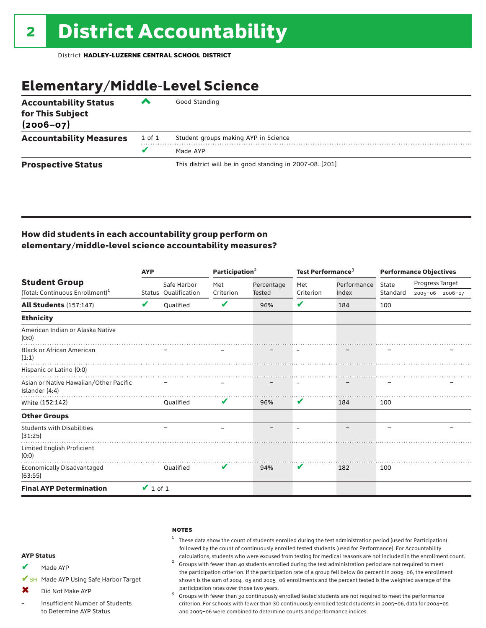### Elementary/Middle-Level Science

| <b>Accountability Status</b><br>for This Subject<br>$(2006 - 07)$ | ▞      | Good Standing                                            |
|-------------------------------------------------------------------|--------|----------------------------------------------------------|
| <b>Accountability Measures</b>                                    | 1 of 1 | Student groups making AYP in Science                     |
|                                                                   | v      | Made AYP                                                 |
| <b>Prospective Status</b>                                         |        | This district will be in good standing in 2007-08. [201] |

### How did students in each accountability group perform on elementary/middle-level science accountability measures?

|                                                          | <b>AYP</b>    |                      |           | Participation $2$ |           | Test Performance <sup>3</sup> |          | <b>Performance Objectives</b> |                 |
|----------------------------------------------------------|---------------|----------------------|-----------|-------------------|-----------|-------------------------------|----------|-------------------------------|-----------------|
| <b>Student Group</b>                                     |               | Safe Harbor          | Met       | Percentage        | Met       | Performance                   | State    | Progress Target               |                 |
| (Total: Continuous Enrollment) <sup>1</sup>              |               | Status Oualification | Criterion | Tested            | Criterion | Index                         | Standard |                               | 2005-06 2006-07 |
| <b>All Students (157:147)</b>                            | V             | <b>Oualified</b>     | V         | 96%               | V         | 184                           | 100      |                               |                 |
| <b>Ethnicity</b>                                         |               |                      |           |                   |           |                               |          |                               |                 |
| American Indian or Alaska Native<br>(0:0)                |               |                      |           |                   |           |                               |          |                               |                 |
| <b>Black or African American</b><br>(1:1)                |               |                      |           |                   |           |                               |          |                               |                 |
| Hispanic or Latino (0:0)                                 |               |                      |           |                   |           |                               |          |                               |                 |
| Asian or Native Hawaiian/Other Pacific<br>Islander (4:4) |               |                      |           |                   |           |                               |          |                               |                 |
| White (152:142)                                          |               | Oualified            | V         | 96%               | V         | 184                           | 100      |                               |                 |
| <b>Other Groups</b>                                      |               |                      |           |                   |           |                               |          |                               |                 |
| <b>Students with Disabilities</b><br>(31:25)             |               |                      |           |                   |           |                               |          |                               |                 |
| Limited English Proficient<br>(0:0)                      |               |                      |           |                   |           |                               |          |                               |                 |
| Economically Disadvantaged<br>(63:55)                    |               | Oualified            | V         | 94%               | V         | 182                           | 100      |                               |                 |
| <b>Final AYP Determination</b>                           | $\vee$ 1 of 1 |                      |           |                   |           |                               |          |                               |                 |

#### **NOTES**

<sup>1</sup> These data show the count of students enrolled during the test administration period (used for Participation) followed by the count of continuously enrolled tested students (used for Performance). For Accountability

calculations, students who were excused from testing for medical reasons are not included in the enrollment count.<br><sup>2</sup> Groups with fewer than 40 students enrolled during the test administration period are not required to m the participation criterion. If the participation rate of a group fell below 80 percent in 2005–06, the enrollment shown is the sum of 2004–05 and 2005–06 enrollments and the percent tested is the weighted average of the

participation rates over those two years.<br> $3$  Groups with fewer than 30 continuously enrolled tested students are not required to meet the performance criterion. For schools with fewer than 30 continuously enrolled tested students in 2005–06, data for 2004–05 and 2005–06 were combined to determine counts and performance indices.

#### AYP Status

- Made AYP ✔
- ✔SH Made AYP Using Safe Harbor Target
- Did Not Make AYP  $\bm{x}$
- Insufficient Number of Students to Determine AYP Status –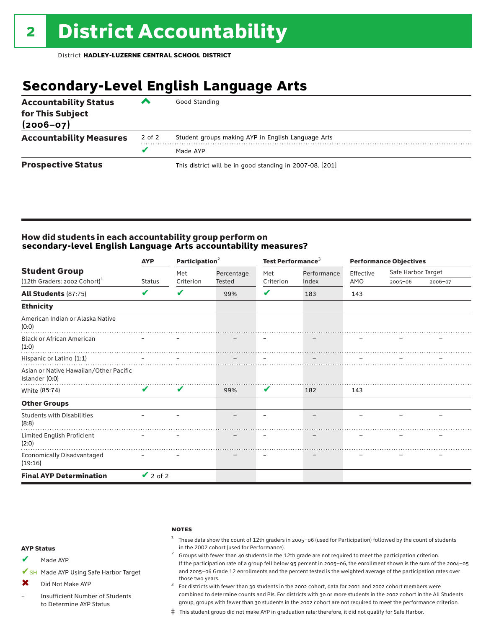### **Secondary-Level English Language Arts**

| <b>Accountability Status</b><br>for This Subject<br>$(2006 - 07)$ | ▰      | Good Standing                                            |
|-------------------------------------------------------------------|--------|----------------------------------------------------------|
| <b>Accountability Measures</b>                                    | 2 of 2 | Student groups making AYP in English Language Arts       |
|                                                                   |        | Made AYP                                                 |
| <b>Prospective Status</b>                                         |        | This district will be in good standing in 2007-08. [201] |

#### How did students in each accountability group perform on **secondary-level English Language Arts accountability measures?**

|                                                                  | <b>AYP</b>    | Participation <sup>2</sup> |                      | Test Performance <sup>3</sup> |                      | <b>Performance Objectives</b> |                                   |         |
|------------------------------------------------------------------|---------------|----------------------------|----------------------|-------------------------------|----------------------|-------------------------------|-----------------------------------|---------|
| <b>Student Group</b><br>(12th Graders: 2002 Cohort) <sup>1</sup> | <b>Status</b> | Met<br>Criterion           | Percentage<br>Tested | Met<br>Criterion              | Performance<br>Index | Effective<br>AMO              | Safe Harbor Target<br>$2005 - 06$ |         |
|                                                                  |               |                            |                      |                               |                      |                               |                                   | 2006-07 |
| <b>All Students (87:75)</b>                                      | V             | V                          | 99%                  | V                             | 183                  | 143                           |                                   |         |
| <b>Ethnicity</b>                                                 |               |                            |                      |                               |                      |                               |                                   |         |
| American Indian or Alaska Native<br>(0:0)                        |               |                            |                      |                               |                      |                               |                                   |         |
| <b>Black or African American</b><br>(1:0)                        |               |                            |                      |                               |                      |                               |                                   |         |
| Hispanic or Latino (1:1)                                         |               |                            |                      |                               |                      |                               |                                   |         |
| Asian or Native Hawaiian/Other Pacific<br>Islander (0:0)         |               |                            |                      |                               |                      |                               |                                   |         |
| White (85:74)                                                    | $\mathbf{v}$  | V                          | 99%                  | V                             | 182                  | 143                           |                                   |         |
| <b>Other Groups</b>                                              |               |                            |                      |                               |                      |                               |                                   |         |
| <b>Students with Disabilities</b><br>(8:8)                       |               |                            |                      |                               |                      |                               |                                   |         |
| Limited English Proficient<br>(2:0)                              |               |                            |                      |                               |                      |                               |                                   |         |
| Economically Disadvantaged<br>(19:16)                            |               |                            |                      |                               |                      |                               |                                   |         |
| <b>Final AYP Determination</b>                                   | $\vee$ 2 of 2 |                            |                      |                               |                      |                               |                                   |         |

#### **NOTES**

 $1$  These data show the count of 12th graders in 2005-06 (used for Participation) followed by the count of students in the 2002 cohort (used for Performance). <sup>2</sup> Groups with fewer than 40 students in the 12th grade are not required to meet the participation criterion.

#### AYP Status

Made AYP ✔

✔SH Made AYP Using Safe Harbor Target

Did Not Make AYP  $\mathbf x$ 

Insufficient Number of Students to Determine AYP Status –

those two years.  $3$  For districts with fewer than 30 students in the 2002 cohort, data for 2001 and 2002 cohort members were combined to determine counts and PIs. For districts with 30 or more students in the 2002 cohort in the All Students group, groups with fewer than 30 students in the 2002 cohort are not required to meet the performance criterion.

If the participation rate of a group fell below 95 percent in 2005–06, the enrollment shown is the sum of the 2004–05 and 2005–06 Grade 12 enrollments and the percent tested is the weighted average of the participation rates over

‡ This student group did not make AYP in graduation rate; therefore, it did not qualify for Safe Harbor.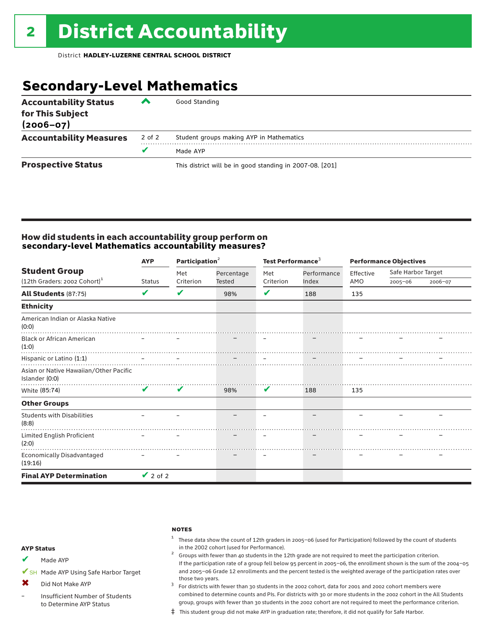### **Secondary-Level Mathematics**

| <b>Accountability Status</b><br>for This Subject<br>$(2006 - 07)$ | ▰      | Good Standing                                            |
|-------------------------------------------------------------------|--------|----------------------------------------------------------|
| <b>Accountability Measures</b>                                    | 2 of 2 | Student groups making AYP in Mathematics                 |
|                                                                   |        | Made AYP                                                 |
| <b>Prospective Status</b>                                         |        | This district will be in good standing in 2007-08. [201] |

#### How did students in each accountability group perform on **secondary-level Mathematics accountability measures?**

|                                                          | <b>AYP</b>    | Participation <sup>2</sup> |               | Test Performance <sup>3</sup> |             | <b>Performance Objectives</b> |                    |         |
|----------------------------------------------------------|---------------|----------------------------|---------------|-------------------------------|-------------|-------------------------------|--------------------|---------|
| <b>Student Group</b>                                     |               | Met                        | Percentage    | Met                           | Performance | Effective<br>AMO              | Safe Harbor Target |         |
| $(12th$ Graders: 2002 Cohort) <sup>1</sup>               | Status        | Criterion                  | <b>Tested</b> | Criterion                     | Index       |                               | $2005 - 06$        | 2006-07 |
| <b>All Students (87:75)</b>                              | V             | V                          | 98%           | V                             | 188         | 135                           |                    |         |
| <b>Ethnicity</b>                                         |               |                            |               |                               |             |                               |                    |         |
| American Indian or Alaska Native<br>(0:0)                |               |                            |               |                               |             |                               |                    |         |
| <b>Black or African American</b><br>(1:0)                |               |                            |               |                               |             |                               |                    |         |
| Hispanic or Latino (1:1)                                 |               |                            |               |                               |             |                               |                    |         |
| Asian or Native Hawaiian/Other Pacific<br>Islander (0:0) |               |                            |               |                               |             |                               |                    |         |
| White (85:74)                                            | V             | V                          | 98%           | V                             | 188         | 135                           |                    |         |
| <b>Other Groups</b>                                      |               |                            |               |                               |             |                               |                    |         |
| <b>Students with Disabilities</b><br>(8:8)               |               |                            |               |                               |             |                               |                    |         |
| Limited English Proficient<br>(2:0)                      |               |                            |               |                               |             |                               |                    |         |
| <b>Economically Disadvantaged</b><br>(19:16)             |               |                            |               |                               |             |                               |                    |         |
| <b>Final AYP Determination</b>                           | $\vee$ 2 of 2 |                            |               |                               |             |                               |                    |         |

#### **NOTES**

 $1$  These data show the count of 12th graders in 2005-06 (used for Participation) followed by the count of students in the 2002 cohort (used for Performance).<br><sup>2</sup> Groups with fewer than 40 students in the 12th grade are not required to meet the participation criterion.

#### AYP Status

Made AYP ✔

✔SH Made AYP Using Safe Harbor Target

Did Not Make AYP ✖

Insufficient Number of Students to Determine AYP Status –

those two years.  $3$  For districts with fewer than 30 students in the 2002 cohort, data for 2001 and 2002 cohort members were combined to determine counts and PIs. For districts with 30 or more students in the 2002 cohort in the All Students group, groups with fewer than 30 students in the 2002 cohort are not required to meet the performance criterion.

If the participation rate of a group fell below 95 percent in 2005–06, the enrollment shown is the sum of the 2004–05 and 2005–06 Grade 12 enrollments and the percent tested is the weighted average of the participation rates over

‡ This student group did not make AYP in graduation rate; therefore, it did not qualify for Safe Harbor.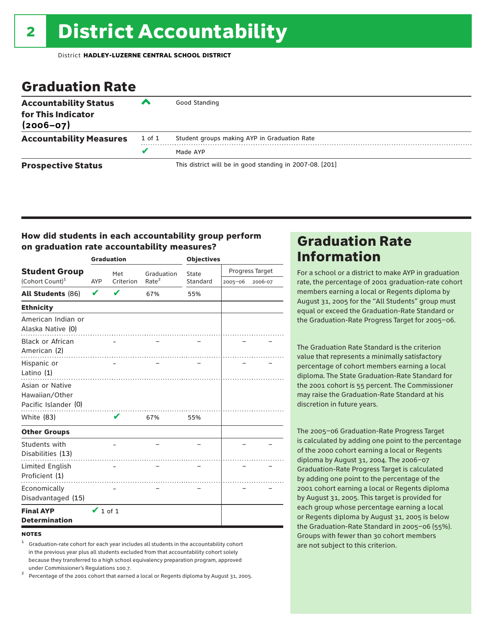### Graduation Rate

| <b>Accountability Status</b><br>for This Indicator<br>$(2006 - 07)$ | ‴      | Good Standing                                            |
|---------------------------------------------------------------------|--------|----------------------------------------------------------|
| <b>Accountability Measures</b>                                      | 1 of 1 | Student groups making AYP in Graduation Rate             |
|                                                                     | v      | Made AYP                                                 |
| <b>Prospective Status</b>                                           |        | This district will be in good standing in 2007-08. [201] |

### How did students in each accountability group perform on graduation rate accountability measures?

|                                                           |               | <b>Graduation</b> |                   | <b>Objectives</b> |             |                 |  |
|-----------------------------------------------------------|---------------|-------------------|-------------------|-------------------|-------------|-----------------|--|
| <b>Student Group</b>                                      |               | Met               | Graduation        | State             |             | Progress Target |  |
| (Cohort Count) <sup>1</sup>                               | <b>AYP</b>    | Criterion         | Rate <sup>2</sup> | Standard          | $2005 - 06$ | 2006-07         |  |
| <b>All Students (86)</b>                                  | V             |                   | 67%               | 55%               |             |                 |  |
| <b>Ethnicity</b>                                          |               |                   |                   |                   |             |                 |  |
| American Indian or<br>Alaska Native (0)                   |               |                   |                   |                   |             |                 |  |
| <b>Black or African</b><br>American (2)                   |               |                   |                   |                   |             |                 |  |
| Hispanic or<br>Latino (1)                                 |               |                   |                   |                   |             |                 |  |
| Asian or Native<br>Hawaiian/Other<br>Pacific Islander (0) |               |                   |                   |                   |             |                 |  |
| White (83)                                                |               | v                 | 67%               | 55%               |             |                 |  |
| <b>Other Groups</b>                                       |               |                   |                   |                   |             |                 |  |
| Students with<br>Disabilities (13)                        |               |                   |                   |                   |             |                 |  |
| <b>Limited English</b><br>Proficient (1)                  |               |                   |                   |                   |             |                 |  |
| Economically<br>Disadvantaged (15)                        |               |                   |                   |                   |             |                 |  |
| <b>Final AYP</b><br><b>Determination</b>                  | $\vee$ 1 of 1 |                   |                   |                   |             |                 |  |

#### **NOTES**

<sup>1</sup> Graduation-rate cohort for each year includes all students in the accountability cohort in the previous year plus all students excluded from that accountability cohort solely because they transferred to a high school equivalency preparation program, approved

under Commissioner's Regulations 100.7. <sup>2</sup> Percentage of the 2001 cohort that earned a local or Regents diploma by August 31, 2005.

### Graduation Rate Information

For a school or a district to make AYP in graduation rate, the percentage of 2001 graduation-rate cohort members earning a local or Regents diploma by August 31, 2005 for the "All Students" group must equal or exceed the Graduation-Rate Standard or the Graduation-Rate Progress Target for 2005–06.

The Graduation Rate Standard is the criterion value that represents a minimally satisfactory percentage of cohort members earning a local diploma. The State Graduation-Rate Standard for the 2001 cohort is 55 percent. The Commissioner may raise the Graduation-Rate Standard at his discretion in future years.

The 2005–06 Graduation-Rate Progress Target is calculated by adding one point to the percentage of the 2000 cohort earning a local or Regents diploma by August 31, 2004. The 2006–07 Graduation-Rate Progress Target is calculated by adding one point to the percentage of the 2001 cohort earning a local or Regents diploma by August 31, 2005. This target is provided for each group whose percentage earning a local or Regents diploma by August 31, 2005 is below the Graduation-Rate Standard in 2005–06 (55%). Groups with fewer than 30 cohort members are not subject to this criterion.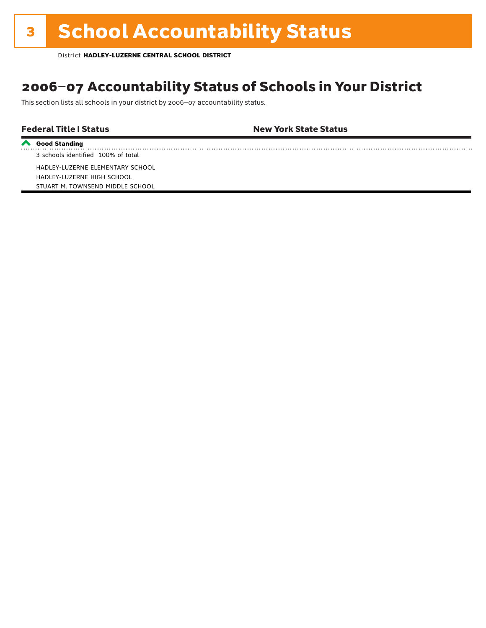# **3 School Accountability Status**

District **HADLEY-LUZERNE CENTRAL SCHOOL DISTRICT**

### 2006–07 Accountability Status of Schools in Your District

This section lists all schools in your district by 2006–07 accountability status.

Federal Title I Status New York State Status

**Good Standing** 3 schools identified 100% of total

HADLEY-LUZERNE ELEMENTARY SCHOOL HADLEY-LUZERNE HIGH SCHOOL STUART M. TOWNSEND MIDDLE SCHOOL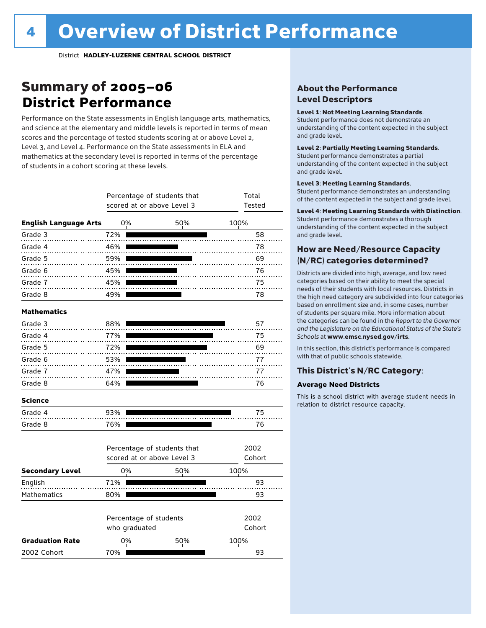### Summary of 2005–06 **District Performance**

Performance on the State assessments in English language arts, mathematics, and science at the elementary and middle levels is reported in terms of mean scores and the percentage of tested students scoring at or above Level 2, Level 3, and Level 4. Performance on the State assessments in ELA and mathematics at the secondary level is reported in terms of the percentage of students in a cohort scoring at these levels.

|                              |     |                                         | Percentage of students that<br>scored at or above Level 3 | Total<br>Tested |  |
|------------------------------|-----|-----------------------------------------|-----------------------------------------------------------|-----------------|--|
| <b>English Language Arts</b> | 0%  |                                         | 50%                                                       | 100%            |  |
| Grade 3                      | 72% |                                         |                                                           | 58              |  |
| Grade 4                      | 46% |                                         |                                                           | 78              |  |
| Grade 5                      | 59% |                                         |                                                           | 69              |  |
| Grade 6                      | 45% |                                         |                                                           | 76              |  |
| Grade 7                      | 45% |                                         |                                                           | 75              |  |
| Grade 8                      | 49% |                                         |                                                           | 78              |  |
| <b>Mathematics</b>           |     |                                         |                                                           |                 |  |
| Grade 3                      | 88% |                                         |                                                           | 57              |  |
| Grade 4                      | 77% |                                         |                                                           | 75              |  |
| Grade 5                      | 72% |                                         |                                                           | 69              |  |
| Grade 6                      | 53% |                                         |                                                           | 77              |  |
| Grade 7                      | 47% |                                         |                                                           | 77              |  |
| Grade 8                      | 64% |                                         |                                                           | 76              |  |
| <b>Science</b>               |     |                                         |                                                           |                 |  |
| Grade 4                      | 93% |                                         |                                                           | 75              |  |
| Grade 8                      | 76% |                                         |                                                           | 76              |  |
|                              |     |                                         | Percentage of students that                               | 2002            |  |
|                              |     |                                         | scored at or above Level 3                                | Cohort          |  |
| <b>Secondary Level</b>       | 0%  |                                         | 50%                                                       | 100%            |  |
| English                      | 71% |                                         |                                                           | 93              |  |
| Mathematics                  | 80% |                                         |                                                           | 93              |  |
|                              |     | Percentage of students<br>who graduated |                                                           | 2002<br>Cohort  |  |
| <b>Graduation Rate</b>       | 0%  |                                         | 50%                                                       | 100%            |  |
| 2002 Cohort                  | 70% |                                         |                                                           | 93              |  |

#### About the Performance Level Descriptors

#### Level 1: Not Meeting Learning Standards.

Student performance does not demonstrate an understanding of the content expected in the subject and grade level.

#### Level 2: Partially Meeting Learning Standards.

Student performance demonstrates a partial understanding of the content expected in the subject and grade level.

#### Level 3: Meeting Learning Standards.

Student performance demonstrates an understanding of the content expected in the subject and grade level.

#### Level 4: Meeting Learning Standards with Distinction.

Student performance demonstrates a thorough understanding of the content expected in the subject and grade level.

#### How are Need/Resource Capacity (N/RC) categories determined?

Districts are divided into high, average, and low need categories based on their ability to meet the special needs of their students with local resources. Districts in the high need category are subdivided into four categories based on enrollment size and, in some cases, number of students per square mile. More information about the categories can be found in the *Report to the Governor and the Legislature on the Educational Status of the State's Schools* at www.emsc.nysed.gov/irts.

In this section, this district's performance is compared with that of public schools statewide.

#### This District's N/RC Category:

#### **Average Need Districts**

This is a school district with average student needs in relation to district resource capacity.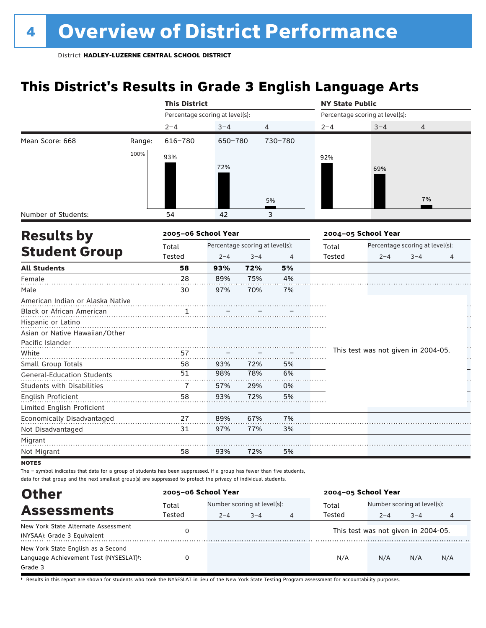### **This District's Results in Grade 3 English Language Arts**

|                                   |        | <b>This District</b>            |                                 |         |         | <b>NY State Public</b>          |                                     |                                 |    |
|-----------------------------------|--------|---------------------------------|---------------------------------|---------|---------|---------------------------------|-------------------------------------|---------------------------------|----|
|                                   |        | Percentage scoring at level(s): |                                 |         |         | Percentage scoring at level(s): |                                     |                                 |    |
|                                   |        | $2 - 4$                         | $3 - 4$                         | 4       |         | $2 - 4$                         | $3 - 4$                             | $\overline{4}$                  |    |
| Mean Score: 668                   | Range: | 616-780                         | 650-780                         |         | 730-780 |                                 |                                     |                                 |    |
|                                   | 100%   | 93%                             |                                 |         |         | 92%                             |                                     |                                 |    |
|                                   |        |                                 | 72%                             |         |         |                                 | 69%                                 |                                 |    |
|                                   |        |                                 |                                 |         |         |                                 |                                     |                                 |    |
|                                   |        |                                 |                                 |         |         |                                 |                                     |                                 |    |
|                                   |        |                                 |                                 |         | 5%      |                                 |                                     | 7%                              |    |
| Number of Students:               |        | 54                              | 42                              |         | 3       |                                 |                                     |                                 |    |
|                                   |        | 2005-06 School Year             |                                 |         |         |                                 | 2004-05 School Year                 |                                 |    |
| <b>Results by</b>                 |        |                                 | Percentage scoring at level(s): |         |         |                                 |                                     | Percentage scoring at level(s): |    |
| <b>Student Group</b>              |        | Total<br>Tested                 | $2 - 4$                         | $3 - 4$ |         | Total<br>Tested                 | $2 - 4$                             | $3 - 4$                         |    |
| <b>All Students</b>               |        | 58                              | 93%                             | 72%     | 4<br>5% |                                 |                                     |                                 | 4  |
| Female                            |        | 28                              | 89%                             | 75%     | 4%      |                                 |                                     |                                 |    |
| Male                              |        | 30                              | 97%                             | 70%     | 7%      |                                 |                                     |                                 |    |
| American Indian or Alaska Native  |        |                                 |                                 |         |         |                                 |                                     |                                 |    |
| Black or African American         |        | 1                               |                                 |         |         |                                 |                                     |                                 |    |
| Hispanic or Latino                |        |                                 |                                 |         |         |                                 |                                     |                                 |    |
| Asian or Native Hawaiian/Other    |        |                                 |                                 |         |         |                                 |                                     |                                 |    |
| Pacific Islander                  |        |                                 |                                 |         |         |                                 |                                     |                                 | H  |
| White                             |        | 57                              |                                 |         |         |                                 | This test was not given in 2004-05. |                                 | μ, |
| Small Group Totals                |        | 58                              | 93%                             | 72%     | 5%      |                                 |                                     |                                 |    |
| <b>General-Education Students</b> |        | 51                              | 98%                             | 78%     | 6%      |                                 |                                     |                                 |    |
| Students with Disabilities        |        | $\overline{1}$                  | 57%                             | 29%     | 0%      |                                 |                                     |                                 |    |
| English Proficient                |        | 58                              | 93%                             | 72%     | 5%      |                                 |                                     |                                 |    |
| Limited English Proficient        |        |                                 |                                 |         |         |                                 |                                     |                                 |    |
| Economically Disadvantaged        |        | 27                              | 89%                             | 67%     | 7%      |                                 |                                     |                                 |    |
| Not Disadvantaged                 |        | 31                              | 97%                             | 77%     | 3%      |                                 |                                     |                                 |    |
| Migrant                           |        |                                 |                                 |         |         |                                 |                                     |                                 |    |
| Not Migrant                       |        | 58                              | 93%                             | 72%     | 5%      |                                 |                                     |                                 |    |
| <b>NOTEC</b>                      |        |                                 |                                 |         |         |                                 |                                     |                                 |    |

**NO** 

The – symbol indicates that data for a group of students has been suppressed. If a group has fewer than five students, data for that group and the next smallest group(s) are suppressed to protect the privacy of individual students.

| <b>Other</b>                                                                                         | 2005-06 School Year |                                                   |  |   | 2004-05 School Year |                                                   |     |     |  |
|------------------------------------------------------------------------------------------------------|---------------------|---------------------------------------------------|--|---|---------------------|---------------------------------------------------|-----|-----|--|
| <b>Assessments</b>                                                                                   | Total<br>Tested     | Number scoring at level(s):<br>$3 - 4$<br>$2 - 4$ |  |   | Total<br>Tested     | Number scoring at level(s):<br>$3 - 4$<br>$2 - 4$ |     |     |  |
| New York State Alternate Assessment<br>(NYSAA): Grade 3 Equivalent                                   |                     |                                                   |  | 4 |                     | This test was not given in 2004-05.               |     | 4   |  |
| New York State English as a Second<br>Language Achievement Test (NYSESLAT) <sup>+</sup> :<br>Grade 3 |                     |                                                   |  |   | N/A                 | N/A                                               | N/A | N/A |  |

† Results in this report are shown for students who took the NYSESLAT in lieu of the New York State Testing Program assessment for accountability purposes.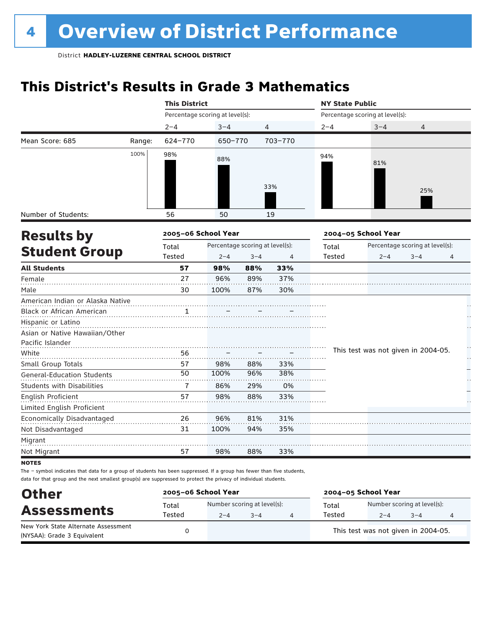## **This District's Results in Grade 3 Mathematics**

|                                   |        | <b>This District</b> |                                 |         |         | <b>NY State Public</b> |                                     |                                 |   |
|-----------------------------------|--------|----------------------|---------------------------------|---------|---------|------------------------|-------------------------------------|---------------------------------|---|
|                                   |        |                      | Percentage scoring at level(s): |         |         |                        | Percentage scoring at level(s):     |                                 |   |
|                                   |        | $2 - 4$              | $3 - 4$                         |         | 4       | $2 - 4$                | $3 - 4$                             | 4                               |   |
| Mean Score: 685                   | Range: | 624-770              | 650-770                         |         | 703-770 |                        |                                     |                                 |   |
|                                   | 100%   | 98%                  | 88%                             |         |         | 94%                    |                                     |                                 |   |
|                                   |        |                      |                                 |         |         |                        | 81%                                 |                                 |   |
|                                   |        |                      |                                 |         |         |                        |                                     |                                 |   |
|                                   |        |                      |                                 |         | 33%     |                        |                                     | 25%                             |   |
|                                   |        |                      |                                 |         |         |                        |                                     |                                 |   |
| Number of Students:               |        | 56                   | 50                              |         | 19      |                        |                                     |                                 |   |
| <b>Results by</b>                 |        | 2005-06 School Year  |                                 |         |         |                        | 2004-05 School Year                 |                                 |   |
|                                   |        | Total                | Percentage scoring at level(s): |         |         | Total                  |                                     | Percentage scoring at level(s): |   |
| <b>Student Group</b>              |        | Tested               | $2 - 4$                         | $3 - 4$ | 4       | Tested                 | $2 - 4$                             | $3 - 4$                         | 4 |
| <b>All Students</b>               |        | 57                   | 98%                             | 88%     | 33%     |                        |                                     |                                 |   |
| Female                            |        | 27                   | 96%                             | 89%     | 37%     |                        |                                     |                                 |   |
| Male                              |        | 30                   | 100%                            | 87%     | 30%     |                        |                                     |                                 |   |
| American Indian or Alaska Native  |        |                      |                                 |         |         |                        |                                     |                                 |   |
| Black or African American         |        | 1                    |                                 |         |         |                        |                                     |                                 |   |
| Hispanic or Latino                |        |                      |                                 |         |         |                        |                                     |                                 |   |
| Asian or Native Hawaiian/Other    |        |                      |                                 |         |         |                        |                                     |                                 |   |
| Pacific Islander                  |        |                      |                                 |         |         |                        | This test was not given in 2004-05. |                                 | H |
| White                             |        | 56                   |                                 |         |         |                        |                                     |                                 | Н |
| Small Group Totals                |        | 57<br>50             | 98%                             | 88%     | 33%     |                        |                                     |                                 |   |
| <b>General-Education Students</b> |        |                      | 100%                            | 96%     | 38%     |                        |                                     |                                 |   |
| Students with Disabilities        |        | $\overline{1}$       | 86%                             | 29%     | 0%      |                        |                                     |                                 |   |
| English Proficient                |        | 57                   | 98%                             | 88%     | 33%     |                        |                                     |                                 |   |
| Limited English Proficient        |        |                      |                                 |         |         |                        |                                     |                                 |   |
| Economically Disadvantaged        |        | 26                   | 96%                             | 81%     | 31%     |                        |                                     |                                 |   |
| Not Disadvantaged                 |        | 31                   | 100%                            | 94%     | 35%     |                        |                                     |                                 |   |
| Migrant                           |        |                      |                                 |         |         |                        |                                     |                                 |   |
| Not Migrant                       |        | 57                   | 98%                             | 88%     | 33%     |                        |                                     |                                 |   |
| <b>NOTEC</b>                      |        |                      |                                 |         |         |                        |                                     |                                 |   |

**NOTES** 

| <b>Other</b>                                                       | 2005-06 School Year |         |                                        | 2004-05 School Year |                                        |         |   |  |  |
|--------------------------------------------------------------------|---------------------|---------|----------------------------------------|---------------------|----------------------------------------|---------|---|--|--|
| <b>Assessments</b>                                                 | Total<br>Tested     | $2 - 4$ | Number scoring at level(s):<br>$3 - 4$ | Total<br>Tested     | Number scoring at level(s):<br>$2 - 4$ | $3 - 4$ | 4 |  |  |
| New York State Alternate Assessment<br>(NYSAA): Grade 3 Equivalent |                     |         |                                        |                     | This test was not given in 2004-05.    |         |   |  |  |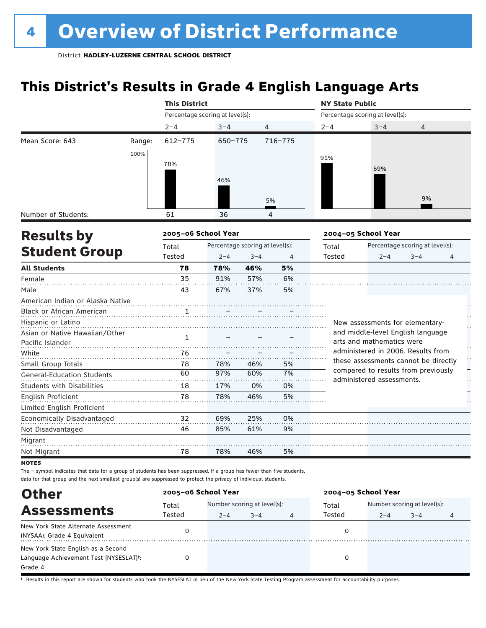### **This District's Results in Grade 4 English Language Arts**

|                                   |        | <b>This District</b>            |         |                                 |             | <b>NY State Public</b> |                                                                             |                                 |   |
|-----------------------------------|--------|---------------------------------|---------|---------------------------------|-------------|------------------------|-----------------------------------------------------------------------------|---------------------------------|---|
|                                   |        | Percentage scoring at level(s): |         |                                 |             |                        | Percentage scoring at level(s):                                             |                                 |   |
|                                   |        | $2 - 4$                         | $3 - 4$ | $\overline{4}$                  |             | $2 - 4$                | $3 - 4$                                                                     | 4                               |   |
| Mean Score: 643                   | Range: | $612 - 775$                     | 650-775 |                                 | $716 - 775$ |                        |                                                                             |                                 |   |
|                                   | 100%   |                                 |         |                                 |             | 91%                    |                                                                             |                                 |   |
|                                   |        | 78%                             |         |                                 |             |                        | 69%                                                                         |                                 |   |
|                                   |        |                                 | 46%     |                                 |             |                        |                                                                             |                                 |   |
|                                   |        |                                 |         |                                 |             |                        |                                                                             |                                 |   |
|                                   |        |                                 |         |                                 | 5%          |                        |                                                                             | 9%                              |   |
| Number of Students:               |        | 61                              | 36      |                                 | 4           |                        |                                                                             |                                 |   |
| <b>Results by</b>                 |        | 2005-06 School Year             |         |                                 |             |                        | 2004-05 School Year                                                         |                                 |   |
|                                   |        | Total                           |         | Percentage scoring at level(s): |             | Total                  |                                                                             | Percentage scoring at level(s): |   |
| <b>Student Group</b>              |        | Tested                          | $2 - 4$ | $3 - 4$                         | 4           | Tested                 | $2 - 4$                                                                     | $3 - 4$                         | 4 |
| <b>All Students</b>               |        | 78                              | 78%     | 46%                             | 5%          |                        |                                                                             |                                 |   |
| Female                            |        | 35                              | 91%     | 57%                             | 6%          |                        |                                                                             |                                 |   |
| Male                              |        | 43                              | 67%     | 37%                             | 5%          |                        |                                                                             |                                 |   |
| American Indian or Alaska Native  |        |                                 |         |                                 |             |                        |                                                                             |                                 |   |
| Black or African American         |        |                                 |         |                                 |             |                        |                                                                             |                                 |   |
| Hispanic or Latino                |        |                                 |         |                                 |             |                        | New assessments for elementary-                                             |                                 |   |
| Asian or Native Hawaiian/Other    |        | 1                               |         |                                 |             |                        | and middle-level English language                                           |                                 |   |
| Pacific Islander                  |        |                                 |         |                                 |             |                        | arts and mathematics were                                                   |                                 |   |
| White                             |        | 76                              |         |                                 |             |                        | administered in 2006. Results from                                          |                                 |   |
| Small Group Totals                |        | 78                              | 78%     | 46%                             | 5%          |                        | these assessments cannot be directly<br>compared to results from previously |                                 |   |
| <b>General-Education Students</b> |        | 60                              | 97%     | 60%                             | 7%          |                        | administered assessments.                                                   |                                 |   |
| <b>Students with Disabilities</b> |        | 18                              | 17%     | 0%                              | 0%          |                        |                                                                             |                                 |   |
| English Proficient                |        | 78                              | 78%     | 46%                             | 5%          |                        |                                                                             |                                 |   |
| Limited English Proficient        |        |                                 |         |                                 |             |                        |                                                                             |                                 |   |
| Economically Disadvantaged        |        | 32                              | 69%     | 25%                             | 0%          |                        |                                                                             |                                 |   |
| Not Disadvantaged                 |        | 46                              | 85%     | 61%                             | 9%          |                        |                                                                             |                                 |   |
| Migrant                           |        |                                 |         |                                 |             |                        |                                                                             |                                 |   |
| Not Migrant                       |        | 78                              | 78%     | 46%                             | 5%          |                        |                                                                             |                                 |   |
| <b>NOTES</b>                      |        |                                 |         |                                 |             |                        |                                                                             |                                 |   |

The – symbol indicates that data for a group of students has been suppressed. If a group has fewer than five students, data for that group and the next smallest group(s) are suppressed to protect the privacy of individual students.

| <b>Other</b>                                                                            | 2005-06 School Year |         |                                        |   | 2004-05 School Year |         |                                        |   |  |
|-----------------------------------------------------------------------------------------|---------------------|---------|----------------------------------------|---|---------------------|---------|----------------------------------------|---|--|
| <b>Assessments</b>                                                                      | Total<br>Tested     | $2 - 4$ | Number scoring at level(s):<br>$3 - 4$ | 4 | Total<br>Tested     | $2 - 4$ | Number scoring at level(s):<br>$3 - 4$ | 4 |  |
| New York State Alternate Assessment<br>(NYSAA): Grade 4 Equivalent                      |                     |         |                                        |   |                     |         |                                        |   |  |
| New York State English as a Second<br>Language Achievement Test (NYSESLAT)t:<br>Grade 4 |                     |         |                                        |   | 0                   |         |                                        |   |  |

† Results in this report are shown for students who took the NYSESLAT in lieu of the New York State Testing Program assessment for accountability purposes.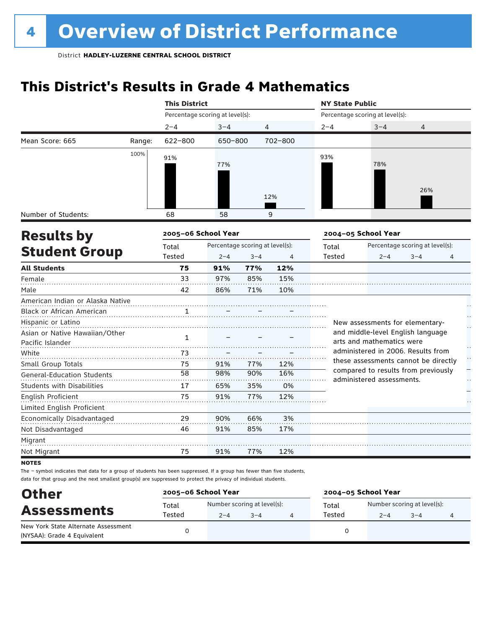## **This District's Results in Grade 4 Mathematics**

|                                   |        | <b>This District</b>            |                                 |         |         | <b>NY State Public</b>          |                                                                             |                                 |    |  |  |
|-----------------------------------|--------|---------------------------------|---------------------------------|---------|---------|---------------------------------|-----------------------------------------------------------------------------|---------------------------------|----|--|--|
|                                   |        | Percentage scoring at level(s): |                                 |         |         | Percentage scoring at level(s): |                                                                             |                                 |    |  |  |
|                                   |        | $2 - 4$                         | $3 - 4$                         |         | 4       | $2 - 4$                         | $3 - 4$                                                                     | 4                               |    |  |  |
| Mean Score: 665                   | Range: | 622-800                         | 650-800                         |         | 702-800 |                                 |                                                                             |                                 |    |  |  |
|                                   | 100%   | 91%                             |                                 |         |         | 93%                             |                                                                             |                                 |    |  |  |
|                                   |        |                                 | 77%                             |         |         |                                 | 78%                                                                         |                                 |    |  |  |
|                                   |        |                                 |                                 |         |         |                                 |                                                                             |                                 |    |  |  |
|                                   |        |                                 |                                 |         |         |                                 |                                                                             | 26%                             |    |  |  |
|                                   |        |                                 |                                 |         | 12%     |                                 |                                                                             |                                 |    |  |  |
| Number of Students:               |        | 68                              | 58                              |         | 9       |                                 |                                                                             |                                 |    |  |  |
|                                   |        |                                 |                                 |         |         |                                 |                                                                             |                                 |    |  |  |
| <b>Results by</b>                 |        | 2005-06 School Year             |                                 |         |         |                                 | 2004-05 School Year                                                         |                                 |    |  |  |
| <b>Student Group</b>              |        | Total                           | Percentage scoring at level(s): |         |         | Total                           |                                                                             | Percentage scoring at level(s): |    |  |  |
|                                   |        | Tested                          | $2 - 4$                         | $3 - 4$ | 4       | Tested                          | $2 - 4$                                                                     | $3 - 4$                         | 4  |  |  |
| <b>All Students</b>               |        | 75                              | 91%                             | 77%     | 12%     |                                 |                                                                             |                                 |    |  |  |
| Female                            |        | 33                              | 97%                             | 85%     | 15%     |                                 |                                                                             |                                 |    |  |  |
| Male                              |        | 42                              | 86%                             | 71%     | 10%     |                                 |                                                                             |                                 |    |  |  |
| American Indian or Alaska Native  |        |                                 |                                 |         |         |                                 |                                                                             |                                 |    |  |  |
| <b>Black or African American</b>  |        | $\mathbf{1}$                    |                                 |         |         |                                 |                                                                             |                                 |    |  |  |
| Hispanic or Latino                |        |                                 |                                 |         |         |                                 | New assessments for elementary-                                             |                                 | μ, |  |  |
| Asian or Native Hawaiian/Other    |        | 1                               |                                 |         |         |                                 | and middle-level English language                                           |                                 |    |  |  |
| Pacific Islander                  |        |                                 |                                 |         |         |                                 | arts and mathematics were                                                   |                                 |    |  |  |
| White                             |        | 73                              |                                 |         |         |                                 | administered in 2006. Results from                                          |                                 | H  |  |  |
| Small Group Totals                |        | 75                              | 91%                             | 77%     | 12%     |                                 | these assessments cannot be directly<br>compared to results from previously |                                 |    |  |  |
| <b>General-Education Students</b> |        | 58                              | 98%                             | 90%     | 16%     |                                 | administered assessments.                                                   |                                 |    |  |  |
| <b>Students with Disabilities</b> |        | 17                              | 65%                             | 35%     | 0%      |                                 |                                                                             |                                 |    |  |  |
| English Proficient                |        | 75                              | 91%                             | 77%     | 12%     |                                 |                                                                             |                                 |    |  |  |
| Limited English Proficient        |        |                                 |                                 |         |         |                                 |                                                                             |                                 |    |  |  |
| Economically Disadvantaged        |        | 29                              | 90%                             | 66%     | 3%      |                                 |                                                                             |                                 |    |  |  |
| Not Disadvantaged                 |        | 46                              | 91%                             | 85%     | 17%     |                                 |                                                                             |                                 |    |  |  |
| Migrant                           |        |                                 |                                 |         |         |                                 |                                                                             |                                 |    |  |  |
| Not Migrant                       |        | 75                              | 91%                             | 77%     | 12%     |                                 |                                                                             |                                 |    |  |  |
| $\sim$                            |        |                                 |                                 |         |         |                                 |                                                                             |                                 |    |  |  |

**NOTES** 

| <b>Other</b><br><b>Assessments</b>                                 | 2005-06 School Year |         |                                        | 2004-05 School Year |         |                                        |  |  |  |
|--------------------------------------------------------------------|---------------------|---------|----------------------------------------|---------------------|---------|----------------------------------------|--|--|--|
|                                                                    | Total<br>Tested     | $2 - 4$ | Number scoring at level(s):<br>$3 - 4$ | Total<br>Tested     | $2 - 4$ | Number scoring at level(s):<br>$3 - 4$ |  |  |  |
| New York State Alternate Assessment<br>(NYSAA): Grade 4 Equivalent |                     |         |                                        |                     |         |                                        |  |  |  |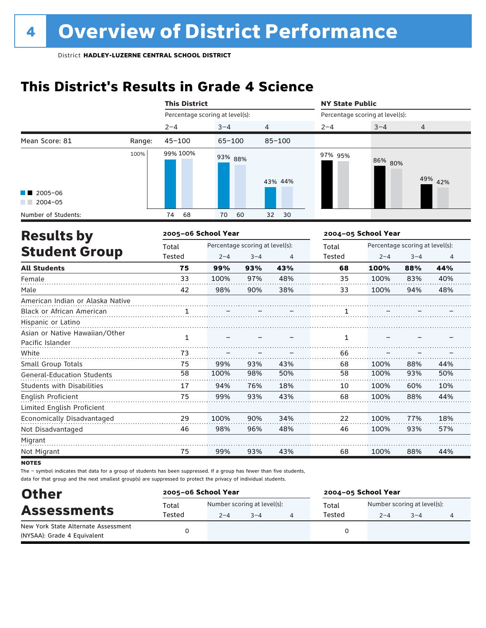## **This District's Results in Grade 4 Science**

|                                                    |        | <b>This District</b>            |                                 |         |                | <b>NY State Public</b>          |                     |                                 |                |  |  |
|----------------------------------------------------|--------|---------------------------------|---------------------------------|---------|----------------|---------------------------------|---------------------|---------------------------------|----------------|--|--|
|                                                    |        | Percentage scoring at level(s): |                                 |         |                | Percentage scoring at level(s): |                     |                                 |                |  |  |
|                                                    |        | $2 - 4$                         | $3 - 4$                         | 4       |                | $2 - 4$                         | $3 - 4$             | 4                               |                |  |  |
| Mean Score: 81                                     | Range: | $45 - 100$                      | $65 - 100$                      |         | $85 - 100$     |                                 |                     |                                 |                |  |  |
|                                                    | 100%   | 99% 100%                        | 93% 88%                         |         | 43% 44%        | 97% 95%                         | 86% 80%             |                                 | 49% 42%        |  |  |
| $2005 - 06$<br>$2004 - 05$                         |        |                                 |                                 |         |                |                                 |                     |                                 |                |  |  |
| Number of Students:                                |        | 74<br>68                        | 70                              | 60      | 30<br>32       |                                 |                     |                                 |                |  |  |
| <b>Results by</b>                                  |        | 2005-06 School Year             |                                 |         |                |                                 | 2004-05 School Year |                                 |                |  |  |
|                                                    |        | Total                           | Percentage scoring at level(s): |         |                | Total                           |                     | Percentage scoring at level(s): |                |  |  |
| <b>Student Group</b>                               |        | <b>Tested</b>                   | $2 - 4$                         | $3 - 4$ | $\overline{4}$ | <b>Tested</b>                   | $2 - 4$             | $3 - 4$                         | $\overline{4}$ |  |  |
| <b>All Students</b>                                |        | 75                              | 99%                             | 93%     | 43%            | 68                              | 100%                | 88%                             | 44%            |  |  |
| Female                                             |        | 33                              | 100%                            | 97%     | 48%            | 35                              | 100%                | 83%                             | 40%            |  |  |
| Male                                               |        | 42                              | 98%                             | 90%     | 38%            | 33                              | 100%                | 94%                             | 48%            |  |  |
| American Indian or Alaska Native                   |        |                                 |                                 |         |                |                                 |                     |                                 |                |  |  |
| Black or African American                          |        | $\mathbf{1}$                    |                                 |         |                | 1                               |                     |                                 |                |  |  |
| Hispanic or Latino                                 |        |                                 |                                 |         |                |                                 |                     |                                 |                |  |  |
| Asian or Native Hawaiian/Other<br>Pacific Islander |        | 1                               |                                 |         |                | 1                               |                     |                                 |                |  |  |
| White                                              |        | 73                              |                                 |         |                | 66                              |                     |                                 |                |  |  |
| Small Group Totals                                 |        | 75                              | 99%                             | 93%     | 43%            | 68                              | 100%                | 88%                             | 44%            |  |  |
| <b>General-Education Students</b>                  |        | 58                              | 100%                            | 98%     | 50%            | 58                              | 100%                | 93%                             | 50%            |  |  |
| Students with Disabilities                         |        | 17                              | 94%                             | 76%     | 18%            | 10                              | 100%                | 60%                             | 10%            |  |  |
| <b>English Proficient</b>                          |        | 75                              | 99%                             | 93%     | 43%            | 68                              | 100%                | 88%                             | 44%            |  |  |
| Limited English Proficient                         |        |                                 |                                 |         |                |                                 |                     |                                 |                |  |  |
| Economically Disadvantaged                         |        | 29                              | 100%                            | 90%     | 34%            | 22                              | 100%                | 77%                             | 18%            |  |  |
| Not Disadvantaged                                  |        | 46                              | 98%                             | 96%     | 48%            | 46                              | 100%                | 93%                             | 57%            |  |  |
| Migrant                                            |        |                                 |                                 |         |                |                                 |                     |                                 |                |  |  |
| Not Migrant                                        |        | 75                              | 99%                             | 93%     | 43%            | 68                              | 100%                | 88%                             | 44%            |  |  |

**NOTES** 

| <b>Other</b>                                                       | 2005-06 School Year |                                        |         | 2004-05 School Year |                                        |         |  |  |  |
|--------------------------------------------------------------------|---------------------|----------------------------------------|---------|---------------------|----------------------------------------|---------|--|--|--|
| <b>Assessments</b>                                                 | Total<br>Tested     | Number scoring at level(s):<br>$2 - 4$ | $3 - 4$ | Total<br>Tested     | Number scoring at level(s):<br>$2 - 4$ | $3 - 4$ |  |  |  |
| New York State Alternate Assessment<br>(NYSAA): Grade 4 Equivalent |                     |                                        |         |                     |                                        |         |  |  |  |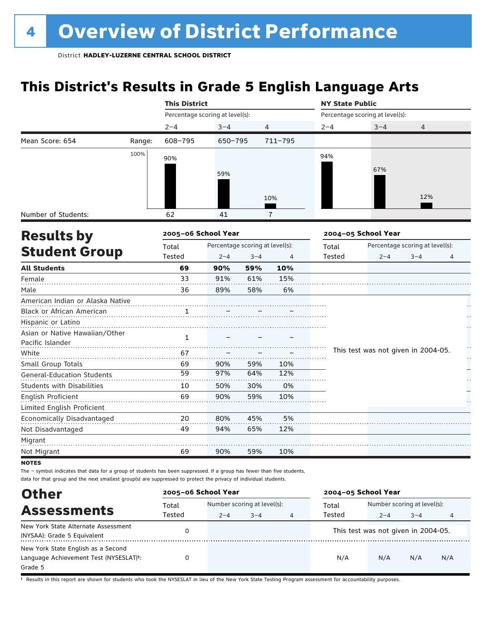### **This District's Results in Grade 5 English Language Arts**

|                                   |        | <b>This District</b>            |                                 |                |                | <b>NY State Public</b> |                                     |                                 |        |  |  |
|-----------------------------------|--------|---------------------------------|---------------------------------|----------------|----------------|------------------------|-------------------------------------|---------------------------------|--------|--|--|
|                                   |        | Percentage scoring at level(s): |                                 |                |                |                        | Percentage scoring at level(s):     |                                 |        |  |  |
|                                   |        | $2 - 4$                         | $3 - 4$                         | $\overline{4}$ |                | $2 - 4$                | $3 - 4$                             | 4                               |        |  |  |
| Mean Score: 654                   | Range: | 608-795                         | 650-795                         |                | $711 - 795$    |                        |                                     |                                 |        |  |  |
|                                   | 100%   | 90%                             |                                 |                |                | 94%                    |                                     |                                 |        |  |  |
|                                   |        |                                 |                                 |                |                |                        | 67%                                 |                                 |        |  |  |
|                                   |        |                                 | 59%                             |                |                |                        |                                     |                                 |        |  |  |
|                                   |        |                                 |                                 |                |                |                        |                                     |                                 |        |  |  |
|                                   |        |                                 |                                 |                | 10%            |                        |                                     | 12%                             |        |  |  |
| Number of Students:               |        | 62                              | 41                              |                | $\overline{1}$ |                        |                                     |                                 |        |  |  |
| <b>Results by</b>                 |        | 2005-06 School Year             |                                 |                |                |                        | 2004-05 School Year                 |                                 |        |  |  |
|                                   |        | Total                           | Percentage scoring at level(s): |                |                | Total                  |                                     | Percentage scoring at level(s): |        |  |  |
| <b>Student Group</b>              |        | Tested                          | $2 - 4$                         | $3 - 4$        | 4              | Tested                 | $2 - 4$                             | $3 - 4$                         | 4      |  |  |
| <b>All Students</b>               |        | 69                              | 90%                             | 59%            | 10%            |                        |                                     |                                 |        |  |  |
| Female                            |        | 33                              | 91%                             | 61%            | 15%            |                        |                                     |                                 |        |  |  |
| Male                              |        | 36                              | 89%                             | 58%            | 6%             |                        |                                     |                                 |        |  |  |
| American Indian or Alaska Native  |        |                                 |                                 |                |                |                        |                                     |                                 |        |  |  |
| Black or African American         |        | 1                               |                                 |                |                |                        |                                     |                                 |        |  |  |
| Hispanic or Latino                |        |                                 |                                 |                |                |                        |                                     |                                 |        |  |  |
| Asian or Native Hawaiian/Other    |        | $\mathbf{1}$                    |                                 |                |                |                        |                                     |                                 |        |  |  |
| Pacific Islander                  |        |                                 |                                 |                |                |                        |                                     |                                 |        |  |  |
| White                             |        | 67                              |                                 |                |                |                        | This test was not given in 2004-05. |                                 | H<br>H |  |  |
| Small Group Totals                |        | 69                              | 90%                             | 59%            | 10%            |                        |                                     |                                 |        |  |  |
| <b>General-Education Students</b> |        | 59                              | 97%                             | 64%            | 12%            |                        |                                     |                                 |        |  |  |
| <b>Students with Disabilities</b> |        | 10                              | 50%                             | 30%            | 0%             |                        |                                     |                                 |        |  |  |
| <b>English Proficient</b>         |        | 69                              | 90%                             | 59%            | 10%            |                        |                                     |                                 |        |  |  |
| Limited English Proficient        |        |                                 |                                 |                |                |                        |                                     |                                 |        |  |  |
| Economically Disadvantaged        |        | 20                              | 80%                             | 45%            | 5%             |                        |                                     |                                 |        |  |  |
| Not Disadvantaged                 |        | 49                              | 94%                             | 65%            | 12%            |                        |                                     |                                 |        |  |  |
| Migrant                           |        |                                 |                                 |                |                |                        |                                     |                                 |        |  |  |
| Not Migrant                       |        | 69                              | 90%                             | 59%            | 10%            |                        |                                     |                                 |        |  |  |
| <b>NOTES</b>                      |        |                                 |                                 |                |                |                        |                                     |                                 |        |  |  |

The – symbol indicates that data for a group of students has been suppressed. If a group has fewer than five students, data for that group and the next smallest group(s) are suppressed to protect the privacy of individual students.

| <b>Other</b>                                                                            | 2005-06 School Year |         |                                        |                | 2004-05 School Year |                                        |         |     |  |
|-----------------------------------------------------------------------------------------|---------------------|---------|----------------------------------------|----------------|---------------------|----------------------------------------|---------|-----|--|
| <b>Assessments</b>                                                                      | Total<br>Tested     | $2 - 4$ | Number scoring at level(s):<br>$3 - 4$ | $\overline{4}$ | Total<br>Tested     | Number scoring at level(s):<br>$2 - 4$ | $3 - 4$ | 4   |  |
| New York State Alternate Assessment<br>(NYSAA): Grade 5 Equivalent                      |                     |         |                                        |                |                     | This test was not given in 2004-05.    |         |     |  |
| New York State English as a Second<br>Language Achievement Test (NYSESLAT)t:<br>Grade 5 |                     |         |                                        |                | N/A                 | N/A                                    | N/A     | N/A |  |

† Results in this report are shown for students who took the NYSESLAT in lieu of the New York State Testing Program assessment for accountability purposes.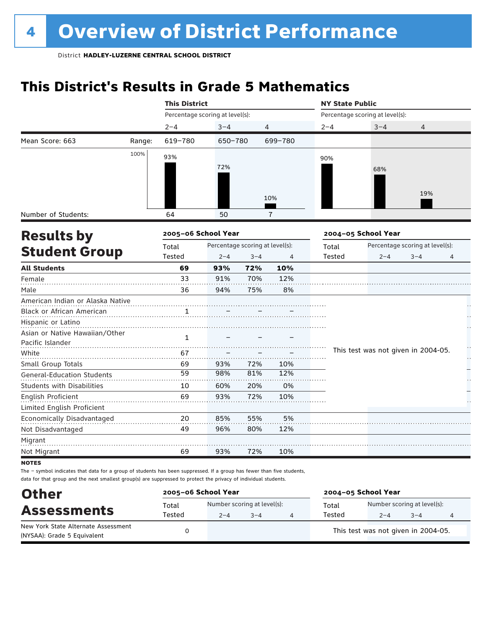## **This District's Results in Grade 5 Mathematics**

|                                   |        | <b>This District</b>            |                                 |         |                | <b>NY State Public</b> |                                     |                                 |    |
|-----------------------------------|--------|---------------------------------|---------------------------------|---------|----------------|------------------------|-------------------------------------|---------------------------------|----|
|                                   |        | Percentage scoring at level(s): |                                 |         |                |                        | Percentage scoring at level(s):     |                                 |    |
|                                   |        | $2 - 4$                         | $3 - 4$                         |         | 4              | $2 - 4$                | $3 - 4$                             | 4                               |    |
| Mean Score: 663                   | Range: | 619-780                         | 650-780                         |         | 699-780        |                        |                                     |                                 |    |
|                                   | 100%   | 93%                             |                                 |         |                | 90%                    |                                     |                                 |    |
|                                   |        |                                 | 72%                             |         |                |                        | 68%                                 |                                 |    |
|                                   |        |                                 |                                 |         |                |                        |                                     |                                 |    |
|                                   |        |                                 |                                 |         |                |                        |                                     |                                 |    |
|                                   |        |                                 |                                 |         | 10%            |                        |                                     | 19%                             |    |
| Number of Students:               |        | 64                              | 50                              |         | $\overline{1}$ |                        |                                     |                                 |    |
|                                   |        |                                 |                                 |         |                |                        |                                     |                                 |    |
| <b>Results by</b>                 |        | 2005-06 School Year             |                                 |         |                |                        | 2004-05 School Year                 |                                 |    |
|                                   |        | Total                           | Percentage scoring at level(s): |         |                | Total                  |                                     | Percentage scoring at level(s): |    |
| <b>Student Group</b>              |        | Tested                          | $2 - 4$                         | $3 - 4$ | 4              | Tested                 | $2 - 4$                             | $3 - 4$                         | 4  |
| <b>All Students</b>               |        | 69                              | 93%                             | 72%     | 10%            |                        |                                     |                                 |    |
| Female                            |        | 33                              | 91%                             | 70%     | 12%            |                        |                                     |                                 |    |
| Male                              |        | 36                              | 94%                             | 75%     | 8%             |                        |                                     |                                 |    |
| American Indian or Alaska Native  |        |                                 |                                 |         |                |                        |                                     |                                 |    |
| Black or African American         |        | 1                               |                                 |         |                |                        |                                     |                                 |    |
| Hispanic or Latino                |        |                                 |                                 |         |                |                        |                                     |                                 |    |
| Asian or Native Hawaiian/Other    |        | $\mathbf{1}$                    |                                 |         |                |                        |                                     |                                 |    |
| Pacific Islander                  |        |                                 |                                 |         |                |                        |                                     |                                 |    |
| White                             |        | 67                              |                                 |         |                |                        | This test was not given in 2004-05. |                                 | Н, |
| Small Group Totals                |        | 69                              | 93%                             | 72%     | 10%            |                        |                                     |                                 |    |
| <b>General-Education Students</b> |        | 59                              | 98%                             | 81%     | 12%            |                        |                                     |                                 |    |
| <b>Students with Disabilities</b> |        | 10                              | 60%                             | 20%     | 0%             |                        |                                     |                                 |    |
| English Proficient                |        | 69                              | 93%                             | 72%     | 10%            |                        |                                     |                                 |    |
| Limited English Proficient        |        |                                 |                                 |         |                |                        |                                     |                                 |    |
| Economically Disadvantaged        |        | 20                              | 85%                             | 55%     | 5%             |                        |                                     |                                 |    |
| Not Disadvantaged                 |        | 49                              | 96%                             | 80%     | 12%            |                        |                                     |                                 |    |
| Migrant                           |        |                                 |                                 |         |                |                        |                                     |                                 |    |
| Not Migrant                       |        | 69                              | 93%                             | 72%     | 10%            |                        |                                     |                                 |    |
| <b>NOTES</b>                      |        |                                 |                                 |         |                |                        |                                     |                                 |    |

| <b>Other</b>                        | 2005-06 School Year |         | 2004-05 School Year         |        |                                     |         |   |  |
|-------------------------------------|---------------------|---------|-----------------------------|--------|-------------------------------------|---------|---|--|
| <b>Assessments</b>                  | Total               |         | Number scoring at level(s): | Total  | Number scoring at level(s):         |         |   |  |
|                                     | Tested              | $2 - 4$ | $3 - 4$                     | Tested | $2 - 4$                             | $3 - 4$ | 4 |  |
| New York State Alternate Assessment |                     |         |                             |        | This test was not given in 2004-05. |         |   |  |
| (NYSAA): Grade 5 Equivalent         |                     |         |                             |        |                                     |         |   |  |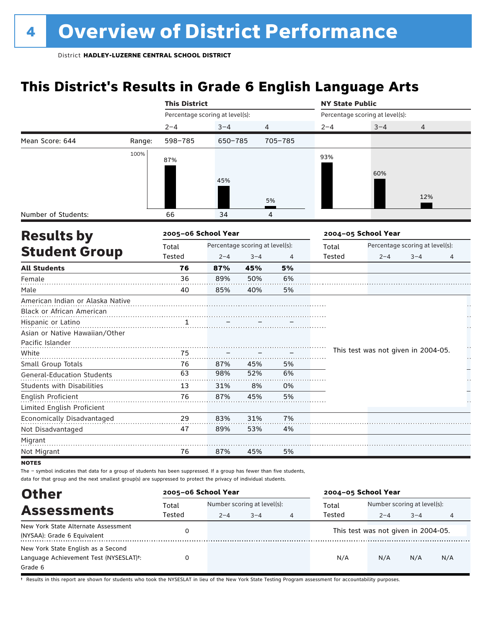### **This District's Results in Grade 6 English Language Arts**

|                                   |        | <b>This District</b>            |             |                                 |         | <b>NY State Public</b> |                                     |                                 |    |  |  |
|-----------------------------------|--------|---------------------------------|-------------|---------------------------------|---------|------------------------|-------------------------------------|---------------------------------|----|--|--|
|                                   |        | Percentage scoring at level(s): |             |                                 |         |                        | Percentage scoring at level(s):     |                                 |    |  |  |
|                                   |        | $2 - 4$                         | $3 - 4$     | 4                               |         | $2 - 4$                | $3 - 4$                             | 4                               |    |  |  |
| Mean Score: 644                   | Range: | 598-785                         | $650 - 785$ |                                 | 705-785 |                        |                                     |                                 |    |  |  |
|                                   | 100%   | 87%                             |             |                                 |         | 93%                    |                                     |                                 |    |  |  |
|                                   |        |                                 |             |                                 |         |                        |                                     |                                 |    |  |  |
|                                   |        |                                 | 45%         |                                 |         |                        | 60%                                 |                                 |    |  |  |
|                                   |        |                                 |             |                                 |         |                        |                                     |                                 |    |  |  |
|                                   |        |                                 |             |                                 | 5%      |                        |                                     | 12%                             |    |  |  |
| Number of Students:               |        | 66                              | 34          |                                 | 4       |                        |                                     |                                 |    |  |  |
| <b>Results by</b>                 |        | 2005-06 School Year             |             |                                 |         |                        | 2004-05 School Year                 |                                 |    |  |  |
|                                   |        | Total                           |             | Percentage scoring at level(s): |         | Total                  |                                     | Percentage scoring at level(s): |    |  |  |
| <b>Student Group</b>              |        | Tested                          | $2 - 4$     | $3 - 4$                         | 4       | Tested                 | $2 - 4$                             | $3 - 4$                         | 4  |  |  |
| <b>All Students</b>               |        | 76                              | 87%         | 45%                             | 5%      |                        |                                     |                                 |    |  |  |
| Female                            |        | 36                              | 89%         | 50%                             | 6%      |                        |                                     |                                 |    |  |  |
| Male                              |        | 40                              | 85%         | 40%                             | 5%      |                        |                                     |                                 |    |  |  |
| American Indian or Alaska Native  |        |                                 |             |                                 |         |                        |                                     |                                 |    |  |  |
| Black or African American         |        |                                 |             |                                 |         |                        |                                     |                                 |    |  |  |
| Hispanic or Latino                |        | 1                               |             |                                 |         |                        |                                     |                                 |    |  |  |
| Asian or Native Hawaiian/Other    |        |                                 |             |                                 |         |                        |                                     |                                 |    |  |  |
| Pacific Islander                  |        |                                 |             |                                 |         |                        |                                     |                                 | H  |  |  |
| White                             |        | 75                              |             |                                 |         |                        | This test was not given in 2004-05. |                                 | Н, |  |  |
| Small Group Totals                |        | 76                              | 87%         | 45%                             | 5%      |                        |                                     |                                 |    |  |  |
| <b>General-Education Students</b> |        | 63                              | 98%         | 52%                             | 6%      |                        |                                     |                                 |    |  |  |
| <b>Students with Disabilities</b> |        | 13                              | 31%         | 8%                              | 0%      |                        |                                     |                                 |    |  |  |
| English Proficient                |        | 76                              | 87%         | 45%                             | 5%      |                        |                                     |                                 |    |  |  |
| Limited English Proficient        |        |                                 |             |                                 |         |                        |                                     |                                 |    |  |  |
| Economically Disadvantaged        |        | 29                              | 83%         | 31%                             | 7%      |                        |                                     |                                 |    |  |  |
| Not Disadvantaged                 |        | 47                              | 89%         | 53%                             | 4%      |                        |                                     |                                 |    |  |  |
| Migrant                           |        |                                 |             |                                 |         |                        |                                     |                                 |    |  |  |
| Not Migrant                       |        | 76                              | 87%         | 45%                             | 5%      |                        |                                     |                                 |    |  |  |
| <b>NOTES</b>                      |        |                                 |             |                                 |         |                        |                                     |                                 |    |  |  |

The – symbol indicates that data for a group of students has been suppressed. If a group has fewer than five students,

data for that group and the next smallest group(s) are suppressed to protect the privacy of individual students.

| <b>Other</b>                                        | 2005-06 School Year |                             |         |   | 2004-05 School Year |                                     |         |     |  |
|-----------------------------------------------------|---------------------|-----------------------------|---------|---|---------------------|-------------------------------------|---------|-----|--|
| <b>Assessments</b>                                  | Total               | Number scoring at level(s): |         |   | Total               | Number scoring at level(s):         |         |     |  |
|                                                     | Tested              | $2 - 4$                     | $3 - 4$ | 4 | Tested              | $2 - 4$                             | $3 - 4$ |     |  |
| New York State Alternate Assessment                 |                     |                             |         |   |                     | This test was not given in 2004-05. |         |     |  |
| (NYSAA): Grade 6 Equivalent                         |                     |                             |         |   |                     |                                     |         |     |  |
| New York State English as a Second                  |                     |                             |         |   |                     |                                     |         |     |  |
| Language Achievement Test (NYSESLAT) <sup>+</sup> : |                     |                             |         |   | N/A                 | N/A                                 | N/A     | N/A |  |
| Grade 6                                             |                     |                             |         |   |                     |                                     |         |     |  |

† Results in this report are shown for students who took the NYSESLAT in lieu of the New York State Testing Program assessment for accountability purposes.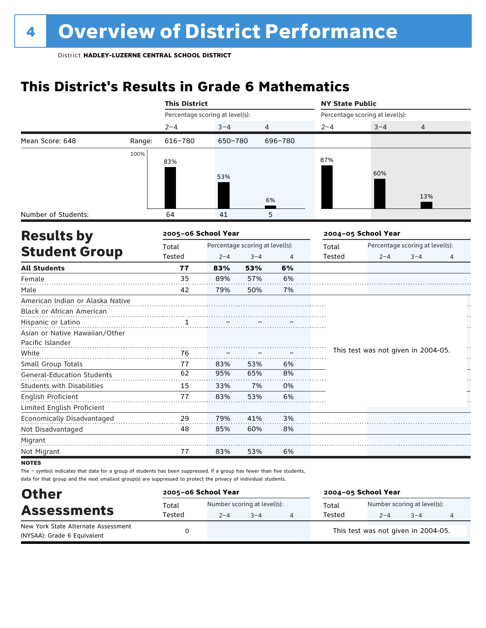## **This District's Results in Grade 6 Mathematics**

|                                   |        | <b>This District</b>            |                                 |         |         | <b>NY State Public</b> |                                     |                                 |   |
|-----------------------------------|--------|---------------------------------|---------------------------------|---------|---------|------------------------|-------------------------------------|---------------------------------|---|
|                                   |        | Percentage scoring at level(s): |                                 |         |         |                        | Percentage scoring at level(s):     |                                 |   |
|                                   |        | $2 - 4$                         | $3 - 4$                         |         | 4       | $2 - 4$                | $3 - 4$                             | 4                               |   |
| Mean Score: 648                   | Range: | 616-780                         | 650-780                         |         | 696-780 |                        |                                     |                                 |   |
|                                   | 100%   |                                 |                                 |         |         |                        |                                     |                                 |   |
|                                   |        | 83%                             |                                 |         |         | 87%                    |                                     |                                 |   |
|                                   |        |                                 | 53%                             |         |         |                        | 60%                                 |                                 |   |
|                                   |        |                                 |                                 |         |         |                        |                                     |                                 |   |
|                                   |        |                                 |                                 |         | 6%      |                        |                                     | 13%                             |   |
| Number of Students:               |        | 64                              | 41                              |         | 5       |                        |                                     |                                 |   |
| <b>Results by</b>                 |        | 2005-06 School Year             |                                 |         |         |                        | 2004-05 School Year                 |                                 |   |
|                                   |        | Total                           | Percentage scoring at level(s): |         |         | Total                  |                                     | Percentage scoring at level(s): |   |
| <b>Student Group</b>              |        | Tested                          | $2 - 4$                         | $3 - 4$ | 4       | Tested                 | $2 - 4$                             | $3 - 4$                         | 4 |
| <b>All Students</b>               |        | 77                              | 83%                             | 53%     | 6%      |                        |                                     |                                 |   |
| Female                            |        | 35                              | 89%                             | 57%     | 6%      |                        |                                     |                                 |   |
| Male                              |        | 42                              | 79%                             | 50%     | 7%      |                        |                                     |                                 |   |
| American Indian or Alaska Native  |        |                                 |                                 |         |         |                        |                                     |                                 |   |
| Black or African American         |        |                                 |                                 |         |         |                        |                                     |                                 |   |
| Hispanic or Latino                |        |                                 |                                 |         |         |                        |                                     |                                 |   |
| Asian or Native Hawaiian/Other    |        |                                 |                                 |         |         |                        |                                     |                                 |   |
| Pacific Islander                  |        |                                 |                                 |         |         |                        |                                     |                                 | h |
| White                             |        | 76                              |                                 |         |         |                        | This test was not given in 2004-05. |                                 | H |
| Small Group Totals                |        | 77                              | 83%                             | 53%     | 6%      |                        |                                     |                                 |   |
| <b>General-Education Students</b> |        | 62                              | 95%                             | 65%     | 8%      |                        |                                     |                                 |   |
| <b>Students with Disabilities</b> |        | 15                              | 33%                             | 7%      | 0%      |                        |                                     |                                 |   |
| English Proficient                |        | 77                              | 83%                             | 53%     | 6%      |                        |                                     |                                 |   |
| Limited English Proficient        |        |                                 |                                 |         |         |                        |                                     |                                 |   |
| Economically Disadvantaged        |        | 29                              | 79%                             | 41%     | 3%      |                        |                                     |                                 |   |
| Not Disadvantaged                 |        | 48                              | 85%                             | 60%     | 8%      |                        |                                     |                                 |   |
| Migrant                           |        |                                 |                                 |         |         |                        |                                     |                                 |   |
| Not Migrant                       |        | 77                              | 83%                             | 53%     | 6%      |                        |                                     |                                 |   |
| <b>NOTES</b>                      |        |                                 |                                 |         |         |                        |                                     |                                 |   |

| <b>Other</b>                        | 2005-06 School Year |                             |         | 2004-05 School Year |                                      |                                     |   |  |  |
|-------------------------------------|---------------------|-----------------------------|---------|---------------------|--------------------------------------|-------------------------------------|---|--|--|
| <b>Assessments</b>                  | Total               | Number scoring at level(s): |         |                     | Number scoring at level(s):<br>Total |                                     |   |  |  |
|                                     | Tested              | $2 - 4$                     | $3 - 4$ | 4                   | Tested                               | $3 - 4$                             | 4 |  |  |
| New York State Alternate Assessment |                     |                             |         |                     |                                      | This test was not given in 2004-05. |   |  |  |
| (NYSAA): Grade 6 Equivalent         |                     |                             |         |                     |                                      |                                     |   |  |  |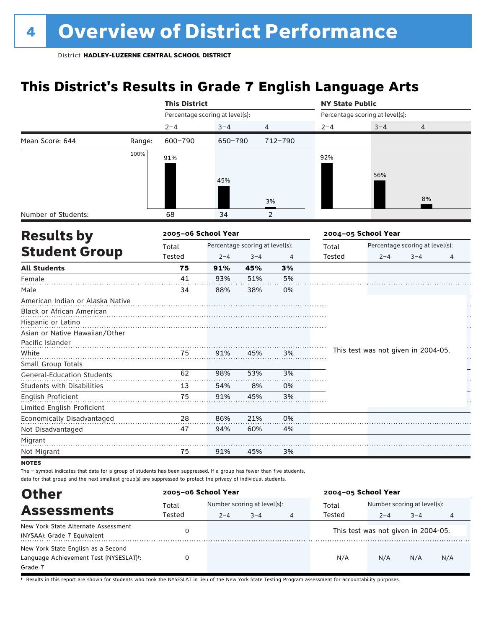### **This District's Results in Grade 7 English Language Arts**

|                                   |        | <b>This District</b>            |         |                                 |                | <b>NY State Public</b> |                                     |                                 |   |
|-----------------------------------|--------|---------------------------------|---------|---------------------------------|----------------|------------------------|-------------------------------------|---------------------------------|---|
|                                   |        | Percentage scoring at level(s): |         |                                 |                |                        | Percentage scoring at level(s):     |                                 |   |
|                                   |        | $2 - 4$                         | $3 - 4$ | 4                               |                | $2 - 4$                | $3 - 4$                             | 4                               |   |
| Mean Score: 644                   | Range: | 600-790                         | 650-790 |                                 | 712-790        |                        |                                     |                                 |   |
|                                   | 100%   | 91%                             |         |                                 |                | 92%                    |                                     |                                 |   |
|                                   |        |                                 |         |                                 |                |                        |                                     |                                 |   |
|                                   |        |                                 | 45%     |                                 |                |                        | 56%                                 |                                 |   |
|                                   |        |                                 |         |                                 |                |                        |                                     |                                 |   |
|                                   |        |                                 |         |                                 | 3%             |                        |                                     | 8%                              |   |
| Number of Students:               |        | 68                              | 34      |                                 | $\overline{2}$ |                        |                                     |                                 |   |
| <b>Results by</b>                 |        | 2005-06 School Year             |         |                                 |                |                        | 2004-05 School Year                 |                                 |   |
|                                   |        | Total                           |         | Percentage scoring at level(s): |                | Total                  |                                     | Percentage scoring at level(s): |   |
| <b>Student Group</b>              |        | Tested                          | $2 - 4$ | $3 - 4$                         | 4              | Tested                 | $2 - 4$                             | $3 - 4$                         | 4 |
| <b>All Students</b>               |        | 75                              | 91%     | 45%                             | 3%             |                        |                                     |                                 |   |
| Female                            |        | 41                              | 93%     | 51%                             | 5%             |                        |                                     |                                 |   |
| Male                              |        | 34                              | 88%     | 38%                             | 0%             |                        |                                     |                                 |   |
| American Indian or Alaska Native  |        |                                 |         |                                 |                |                        |                                     |                                 |   |
| Black or African American         |        |                                 |         |                                 |                |                        |                                     |                                 |   |
| Hispanic or Latino                |        |                                 |         |                                 |                |                        |                                     |                                 |   |
| Asian or Native Hawaiian/Other    |        |                                 |         |                                 |                |                        |                                     |                                 |   |
| Pacific Islander                  |        |                                 |         |                                 |                |                        |                                     |                                 | H |
| White                             |        | 75                              | 91%     | 45%                             | 3%             |                        | This test was not given in 2004-05. |                                 | H |
| Small Group Totals                |        |                                 |         |                                 |                |                        |                                     |                                 |   |
| <b>General-Education Students</b> |        | 62                              | 98%     | 53%                             | 3%             |                        |                                     |                                 |   |
| <b>Students with Disabilities</b> |        | 13                              | 54%     | 8%                              | 0%             |                        |                                     |                                 |   |
| <b>English Proficient</b>         |        | 75                              | 91%     | 45%                             | 3%             |                        |                                     |                                 |   |
| Limited English Proficient        |        |                                 |         |                                 |                |                        |                                     |                                 |   |
| Economically Disadvantaged        |        | 28                              | 86%     | 21%                             | 0%             |                        |                                     |                                 |   |
| Not Disadvantaged                 |        | 47                              | 94%     | 60%                             | 4%             |                        |                                     |                                 |   |
| Migrant                           |        |                                 |         |                                 |                |                        |                                     |                                 |   |
| Not Migrant                       |        | 75                              | 91%     | 45%                             | 3%             |                        |                                     |                                 |   |
| <b>NOTES</b>                      |        |                                 |         |                                 |                |                        |                                     |                                 |   |

The – symbol indicates that data for a group of students has been suppressed. If a group has fewer than five students, data for that group and the next smallest group(s) are suppressed to protect the privacy of individual students.

| <b>Other</b>                                                                                         | 2005-06 School Year |                             |         |   | 2004-05 School Year |                                     |         |     |
|------------------------------------------------------------------------------------------------------|---------------------|-----------------------------|---------|---|---------------------|-------------------------------------|---------|-----|
| <b>Assessments</b>                                                                                   | Total               | Number scoring at level(s): |         |   | Total               | Number scoring at level(s):         |         |     |
|                                                                                                      | Tested              | $2 - 4$                     | $3 - 4$ | 4 | Tested              | $2 - 4$                             | $3 - 4$ | 4   |
| New York State Alternate Assessment<br>(NYSAA): Grade 7 Equivalent                                   | 0                   |                             |         |   |                     | This test was not given in 2004-05. |         |     |
| New York State English as a Second<br>Language Achievement Test (NYSESLAT) <sup>+</sup> :<br>Grade 7 |                     |                             |         |   | N/A                 | N/A                                 | N/A     | N/A |

† Results in this report are shown for students who took the NYSESLAT in lieu of the New York State Testing Program assessment for accountability purposes.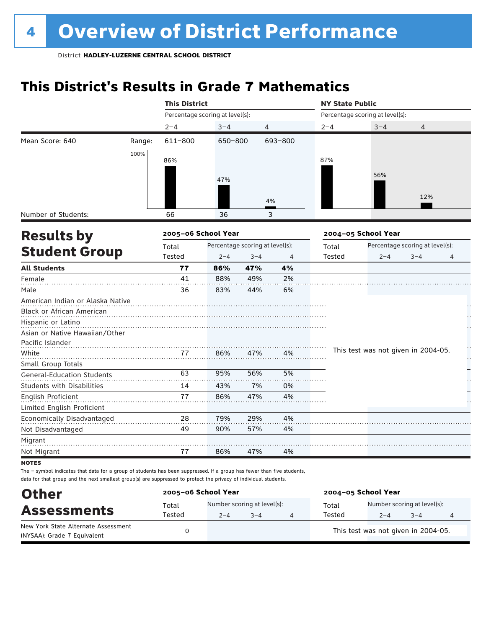### **This District's Results in Grade 7 Mathematics**

|                                   |        | <b>This District</b>            |                                 |         |         | <b>NY State Public</b>          |                                     |                                 |   |  |
|-----------------------------------|--------|---------------------------------|---------------------------------|---------|---------|---------------------------------|-------------------------------------|---------------------------------|---|--|
|                                   |        | Percentage scoring at level(s): |                                 |         |         | Percentage scoring at level(s): |                                     |                                 |   |  |
|                                   |        | $2 - 4$                         | $3 - 4$                         | 4       |         | $2 - 4$                         | $3 - 4$                             | 4                               |   |  |
| Mean Score: 640                   | Range: | 611-800                         | 650-800                         |         | 693-800 |                                 |                                     |                                 |   |  |
|                                   | 100%   |                                 |                                 |         |         | 87%                             |                                     |                                 |   |  |
|                                   |        | 86%                             |                                 |         |         |                                 |                                     |                                 |   |  |
|                                   |        |                                 | 47%                             |         |         |                                 | 56%                                 |                                 |   |  |
|                                   |        |                                 |                                 |         |         |                                 |                                     |                                 |   |  |
|                                   |        |                                 |                                 |         | 4%      |                                 |                                     | 12%                             |   |  |
| Number of Students:               |        | 66                              | 36                              |         | 3       |                                 |                                     |                                 |   |  |
| <b>Results by</b>                 |        | 2005-06 School Year             |                                 |         |         |                                 | 2004-05 School Year                 |                                 |   |  |
|                                   |        | Total                           | Percentage scoring at level(s): |         |         | Total                           |                                     | Percentage scoring at level(s): |   |  |
| <b>Student Group</b>              |        | Tested                          | $2 - 4$                         | $3 - 4$ | 4       | Tested                          | $2 - 4$                             | $3 - 4$                         | 4 |  |
| <b>All Students</b>               |        | 77                              | 86%                             | 47%     | 4%      |                                 |                                     |                                 |   |  |
| Female                            |        | 41                              | 88%                             | 49%     | 2%      |                                 |                                     |                                 |   |  |
| Male                              |        | 36                              | 83%                             | 44%     | 6%      |                                 |                                     |                                 |   |  |
| American Indian or Alaska Native  |        |                                 |                                 |         |         |                                 |                                     |                                 |   |  |
| Black or African American         |        |                                 |                                 |         |         |                                 |                                     |                                 |   |  |
| Hispanic or Latino                |        |                                 |                                 |         |         |                                 |                                     |                                 |   |  |
| Asian or Native Hawaiian/Other    |        |                                 |                                 |         |         |                                 |                                     |                                 |   |  |
| Pacific Islander                  |        |                                 |                                 |         |         |                                 |                                     |                                 |   |  |
| White                             |        | 77                              | 86%                             | 47%     | 4%      |                                 | This test was not given in 2004-05. |                                 |   |  |
| Small Group Totals                |        |                                 |                                 |         |         |                                 |                                     |                                 |   |  |
| <b>General-Education Students</b> |        | 63                              | 95%                             | 56%     | 5%      |                                 |                                     |                                 |   |  |
| <b>Students with Disabilities</b> |        | 14                              | 43%                             | 7%      | 0%      |                                 |                                     |                                 |   |  |
| English Proficient                |        | 77                              | 86%                             | 47%     | 4%      |                                 |                                     |                                 |   |  |
| Limited English Proficient        |        |                                 |                                 |         |         |                                 |                                     |                                 |   |  |
| Economically Disadvantaged        |        | 28                              | 79%                             | 29%     | 4%      |                                 |                                     |                                 |   |  |
| Not Disadvantaged                 |        | 49                              | 90%                             | 57%     | 4%      |                                 |                                     |                                 |   |  |
| Migrant                           |        |                                 |                                 |         |         |                                 |                                     |                                 |   |  |
| Not Migrant                       |        | 77                              | 86%                             | 47%     | 4%      |                                 |                                     |                                 |   |  |
| <b>NOTES</b>                      |        |                                 |                                 |         |         |                                 |                                     |                                 |   |  |

| <b>Other</b>                                                       | 2005-06 School Year |         |                             | 2004-05 School Year |                                     |         |  |  |  |
|--------------------------------------------------------------------|---------------------|---------|-----------------------------|---------------------|-------------------------------------|---------|--|--|--|
| <b>Assessments</b>                                                 | Total               |         | Number scoring at level(s): | Total               | Number scoring at level(s):         |         |  |  |  |
|                                                                    | Tested              | $2 - 4$ | $3 - 4$                     | Tested              | $2 - 4$                             | $3 - 4$ |  |  |  |
| New York State Alternate Assessment<br>(NYSAA): Grade 7 Equivalent |                     |         |                             |                     | This test was not given in 2004-05. |         |  |  |  |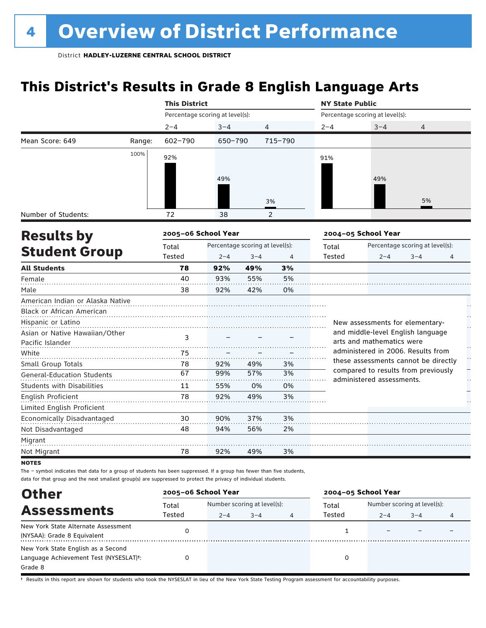### **This District's Results in Grade 8 English Language Arts**

|                                   |        | <b>This District</b>            |         |                                 |                | <b>NY State Public</b> |                                                                  |                                 |        |
|-----------------------------------|--------|---------------------------------|---------|---------------------------------|----------------|------------------------|------------------------------------------------------------------|---------------------------------|--------|
|                                   |        | Percentage scoring at level(s): |         |                                 |                |                        | Percentage scoring at level(s):                                  |                                 |        |
|                                   |        | $2 - 4$                         | $3 - 4$ | $\overline{4}$                  |                | $2 - 4$                | $3 - 4$                                                          | 4                               |        |
| Mean Score: 649                   | Range: | $602 - 790$                     | 650-790 |                                 | 715-790        |                        |                                                                  |                                 |        |
|                                   | 100%   | 92%                             |         |                                 |                | 91%                    |                                                                  |                                 |        |
|                                   |        |                                 |         |                                 |                |                        |                                                                  |                                 |        |
|                                   |        |                                 | 49%     |                                 |                |                        | 49%                                                              |                                 |        |
|                                   |        |                                 |         |                                 |                |                        |                                                                  |                                 |        |
|                                   |        |                                 |         |                                 | 3%             |                        |                                                                  | 5%                              |        |
| Number of Students:               |        | 72                              | 38      |                                 | 2              |                        |                                                                  |                                 |        |
| <b>Results by</b>                 |        | 2005-06 School Year             |         |                                 |                |                        | 2004-05 School Year                                              |                                 |        |
|                                   |        | Total                           |         | Percentage scoring at level(s): |                | Total                  |                                                                  | Percentage scoring at level(s): |        |
| <b>Student Group</b>              |        | Tested                          | $2 - 4$ | $3 - 4$                         | $\overline{4}$ | Tested                 | $2 - 4$                                                          | $3 - 4$                         | 4      |
| <b>All Students</b>               |        | 78                              | 92%     | 49%                             | 3%             |                        |                                                                  |                                 |        |
| Female                            |        | 40                              | 93%     | 55%                             | 5%             |                        |                                                                  |                                 |        |
| Male                              |        | 38                              | 92%     | 42%                             | 0%             |                        |                                                                  |                                 |        |
| American Indian or Alaska Native  |        |                                 |         |                                 |                |                        |                                                                  |                                 |        |
| Black or African American         |        |                                 |         |                                 |                |                        |                                                                  |                                 |        |
| Hispanic or Latino                |        |                                 |         |                                 |                |                        | New assessments for elementary-                                  |                                 |        |
| Asian or Native Hawaiian/Other    |        | 3                               |         |                                 |                |                        | and middle-level English language                                |                                 |        |
| Pacific Islander                  |        |                                 |         |                                 |                |                        | arts and mathematics were                                        |                                 |        |
| White                             |        | 75                              |         |                                 |                |                        | administered in 2006. Results from                               |                                 | Ŭ<br>H |
| Small Group Totals                |        | 78                              | 92%     | 49%                             | 3%             |                        | these assessments cannot be directly                             |                                 |        |
| <b>General-Education Students</b> |        | 67                              | 99%     | 57%                             | 3%             |                        | compared to results from previously<br>administered assessments. |                                 | μ,     |
| <b>Students with Disabilities</b> |        | 11                              | 55%     | 0%                              | 0%             |                        |                                                                  |                                 |        |
| <b>English Proficient</b>         |        | 78                              | 92%     | 49%                             | 3%             |                        |                                                                  |                                 |        |
| Limited English Proficient        |        |                                 |         |                                 |                |                        |                                                                  |                                 |        |
| Economically Disadvantaged        |        | 30                              | 90%     | 37%                             | 3%             |                        |                                                                  |                                 |        |
| Not Disadvantaged                 |        | 48                              | 94%     | 56%                             | 2%             |                        |                                                                  |                                 |        |
| Migrant                           |        |                                 |         |                                 |                |                        |                                                                  |                                 |        |
| Not Migrant                       |        | 78                              | 92%     | 49%                             | 3%             |                        |                                                                  |                                 |        |
| <b>NOTES</b>                      |        |                                 |         |                                 |                |                        |                                                                  |                                 |        |

The – symbol indicates that data for a group of students has been suppressed. If a group has fewer than five students, data for that group and the next smallest group(s) are suppressed to protect the privacy of individual students.

| <b>Other</b>                           | 2005-06 School Year |                             |         |   | 2004-05 School Year |                             |         |  |  |
|----------------------------------------|---------------------|-----------------------------|---------|---|---------------------|-----------------------------|---------|--|--|
| <b>Assessments</b>                     | Total               | Number scoring at level(s): |         |   | Total               | Number scoring at level(s): |         |  |  |
|                                        | Tested              | $2 - 4$                     | $3 - 4$ | 4 | Tested              | $2 - 4$                     | $3 - 4$ |  |  |
| New York State Alternate Assessment    |                     |                             |         |   |                     |                             |         |  |  |
| (NYSAA): Grade 8 Equivalent            |                     |                             |         |   |                     |                             |         |  |  |
| New York State English as a Second     |                     |                             |         |   |                     |                             |         |  |  |
| Language Achievement Test (NYSESLAT)t: |                     |                             |         |   |                     |                             |         |  |  |
| Grade 8                                |                     |                             |         |   |                     |                             |         |  |  |

† Results in this report are shown for students who took the NYSESLAT in lieu of the New York State Testing Program assessment for accountability purposes.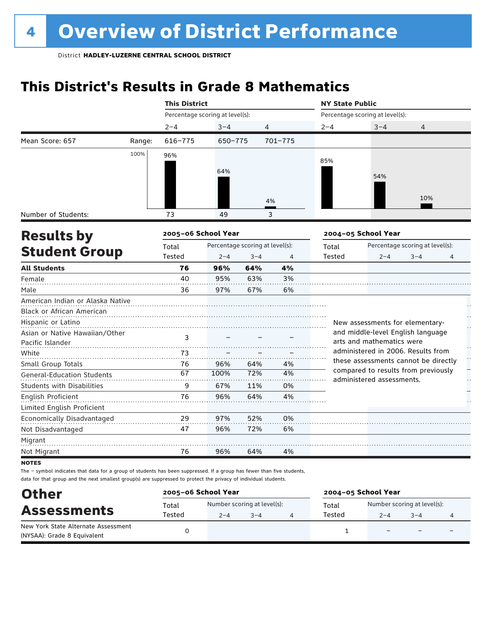### **This District's Results in Grade 8 Mathematics**

|                                   |        | <b>This District</b>            |                                 |         |         | <b>NY State Public</b> |                                                                             |                                 |   |  |
|-----------------------------------|--------|---------------------------------|---------------------------------|---------|---------|------------------------|-----------------------------------------------------------------------------|---------------------------------|---|--|
|                                   |        | Percentage scoring at level(s): |                                 |         |         |                        | Percentage scoring at level(s):                                             |                                 |   |  |
|                                   |        | $2 - 4$                         | $3 - 4$                         |         | 4       | $2 - 4$                | $3 - 4$                                                                     | 4                               |   |  |
| Mean Score: 657                   | Range: | $616 - 775$                     | 650-775                         |         | 701-775 |                        |                                                                             |                                 |   |  |
|                                   | 100%   | 96%                             |                                 |         |         |                        |                                                                             |                                 |   |  |
|                                   |        |                                 |                                 |         |         | 85%                    |                                                                             |                                 |   |  |
|                                   |        |                                 | 64%                             |         |         |                        | 54%                                                                         |                                 |   |  |
|                                   |        |                                 |                                 |         |         |                        |                                                                             |                                 |   |  |
|                                   |        |                                 |                                 |         | 4%      |                        |                                                                             | 10%                             |   |  |
| Number of Students:               |        | 73                              | 49                              |         | 3       |                        |                                                                             |                                 |   |  |
|                                   |        | 2005-06 School Year             |                                 |         |         |                        | 2004-05 School Year                                                         |                                 |   |  |
| <b>Results by</b>                 |        |                                 | Percentage scoring at level(s): |         |         |                        |                                                                             | Percentage scoring at level(s): |   |  |
| <b>Student Group</b>              |        | Total<br>Tested                 | $2 - 4$                         | $3 - 4$ | 4       | Total<br>Tested        | $2 - 4$                                                                     | $3 - 4$                         | 4 |  |
| <b>All Students</b>               |        | 76                              | 96%                             | 64%     | 4%      |                        |                                                                             |                                 |   |  |
| Female                            |        | 40                              | 95%                             | 63%     | 3%      |                        |                                                                             |                                 |   |  |
| Male                              |        | 36                              | 97%                             | 67%     | 6%      |                        |                                                                             |                                 |   |  |
| American Indian or Alaska Native  |        |                                 |                                 |         |         |                        |                                                                             |                                 |   |  |
| Black or African American         |        |                                 |                                 |         |         |                        |                                                                             |                                 |   |  |
| Hispanic or Latino                |        |                                 |                                 |         |         |                        | New assessments for elementary-                                             |                                 |   |  |
| Asian or Native Hawaiian/Other    |        | 3                               |                                 |         |         |                        | and middle-level English language                                           |                                 |   |  |
| Pacific Islander                  |        |                                 |                                 |         |         |                        | arts and mathematics were                                                   |                                 |   |  |
| White                             |        | 73                              |                                 |         |         |                        | administered in 2006. Results from                                          |                                 |   |  |
| Small Group Totals                |        | 76                              | 96%                             | 64%     | 4%      |                        | these assessments cannot be directly<br>compared to results from previously |                                 |   |  |
| <b>General-Education Students</b> |        | 67                              | 100%                            | 72%     | 4%      |                        | administered assessments.                                                   |                                 |   |  |
| <b>Students with Disabilities</b> |        | 9                               | 67%                             | 11%     | 0%      |                        |                                                                             |                                 |   |  |
| English Proficient                |        | 76                              | 96%                             | 64%     | 4%      |                        |                                                                             |                                 |   |  |
| Limited English Proficient        |        |                                 |                                 |         |         |                        |                                                                             |                                 |   |  |
| Economically Disadvantaged        |        | 29                              | 97%                             | 52%     | 0%      |                        |                                                                             |                                 |   |  |
| Not Disadvantaged                 |        | 47                              | 96%                             | 72%     | 6%      |                        |                                                                             |                                 |   |  |
| Migrant                           |        |                                 |                                 |         |         |                        |                                                                             |                                 |   |  |
| Not Migrant                       |        | 76                              | 96%                             | 64%     | 4%      |                        |                                                                             |                                 |   |  |
|                                   |        |                                 |                                 |         |         |                        |                                                                             |                                 |   |  |

**NOTES** 

| <b>Other</b>                                                       | 2005-06 School Year |                                        |         | 2004-05 School Year |                                        |                          |  |
|--------------------------------------------------------------------|---------------------|----------------------------------------|---------|---------------------|----------------------------------------|--------------------------|--|
| <b>Assessments</b>                                                 | Total<br>Tested     | Number scoring at level(s):<br>$2 - 4$ | $3 - 4$ | Total<br>Tested     | Number scoring at level(s):<br>$2 - 4$ | $3 - 4$                  |  |
| New York State Alternate Assessment<br>(NYSAA): Grade 8 Equivalent |                     |                                        |         |                     |                                        | $\overline{\phantom{0}}$ |  |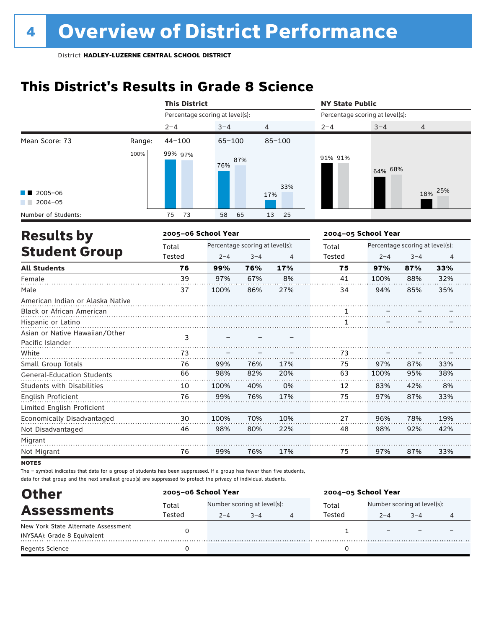## **This District's Results in Grade 8 Science**

|                                                    |        | <b>This District</b>            |                                 |         |                | <b>NY State Public</b>          |                     |                                 |                |  |
|----------------------------------------------------|--------|---------------------------------|---------------------------------|---------|----------------|---------------------------------|---------------------|---------------------------------|----------------|--|
|                                                    |        | Percentage scoring at level(s): |                                 |         |                | Percentage scoring at level(s): |                     |                                 |                |  |
|                                                    |        | $2 - 4$                         | $3 - 4$                         | 4       |                | $2 - 4$                         | $3 - 4$             | 4                               |                |  |
| Mean Score: 73                                     | Range: | $44 - 100$                      | $65 - 100$                      |         | $85 - 100$     |                                 |                     |                                 |                |  |
|                                                    | 100%   | 99% 97%                         | 76%                             | 87%     | 33%            | 91% 91%                         | 64% 68%             |                                 |                |  |
| $\blacksquare$ 2005-06                             |        |                                 |                                 |         | 17%            |                                 |                     | 18%                             | 25%            |  |
| $2004 - 05$                                        |        |                                 |                                 |         |                |                                 |                     |                                 |                |  |
| Number of Students:                                |        | 75<br>73                        | 58                              | 65      | 25<br>13       |                                 |                     |                                 |                |  |
| <b>Results by</b>                                  |        | 2005-06 School Year             |                                 |         |                |                                 | 2004-05 School Year |                                 |                |  |
|                                                    |        | Total                           | Percentage scoring at level(s): |         |                | Total                           |                     | Percentage scoring at level(s): |                |  |
| <b>Student Group</b>                               |        | <b>Tested</b>                   | $2 - 4$                         | $3 - 4$ | $\overline{4}$ | <b>Tested</b>                   | $2 - 4$             | $3 - 4$                         | $\overline{4}$ |  |
| <b>All Students</b>                                |        | 76                              | 99%                             | 76%     | 17%            | 75                              | 97%                 | 87%                             | 33%            |  |
| Female                                             |        | 39                              | 97%                             | 67%     | 8%             | 41                              | 100%                | 88%                             | 32%            |  |
| Male                                               |        | 37                              | 100%                            | 86%     | 27%            | 34                              | 94%                 | 85%                             | 35%            |  |
| American Indian or Alaska Native                   |        |                                 |                                 |         |                |                                 |                     |                                 |                |  |
| Black or African American                          |        |                                 |                                 |         |                | $\overline{1}$                  |                     |                                 |                |  |
| Hispanic or Latino                                 |        |                                 |                                 |         |                | 1                               |                     |                                 |                |  |
| Asian or Native Hawaiian/Other<br>Pacific Islander |        | 3                               |                                 |         |                |                                 |                     |                                 |                |  |
| White                                              |        | 73                              |                                 |         |                | 73                              |                     |                                 |                |  |
| Small Group Totals                                 |        | 76                              | 99%                             | 76%     | 17%            | 75                              | 97%                 | 87%                             | 33%            |  |
| <b>General-Education Students</b>                  |        | 66                              | 98%                             | 82%     | 20%            | 63                              | 100%                | 95%                             | 38%            |  |
| <b>Students with Disabilities</b>                  |        | 10                              | 100%                            | 40%     | 0%             | 12                              | 83%                 | 42%                             | 8%             |  |
| <b>English Proficient</b>                          |        | 76                              | 99%                             | 76%     | 17%            | 75                              | 97%                 | 87%                             | 33%            |  |
| Limited English Proficient                         |        |                                 |                                 |         |                |                                 |                     |                                 |                |  |
| Economically Disadvantaged                         |        | 30                              | 100%                            | 70%     | 10%            | 27                              | 96%                 | 78%                             | 19%            |  |
| Not Disadvantaged                                  |        | 46                              | 98%                             | 80%     | 22%            | 48                              | 98%                 | 92%                             | 42%            |  |
| Migrant                                            |        |                                 |                                 |         |                |                                 |                     |                                 |                |  |
| Not Migrant                                        |        | 76                              | 99%                             | 76%     | 17%            | 75                              | 97%                 | 87%                             | 33%            |  |

**NOTES** 

| <b>Other</b>                        | 2005-06 School Year |                             |         |   | 2004-05 School Year |                             |         |  |
|-------------------------------------|---------------------|-----------------------------|---------|---|---------------------|-----------------------------|---------|--|
|                                     | Total               | Number scoring at level(s): |         |   | Total               | Number scoring at level(s): |         |  |
| <b>Assessments</b>                  | Tested              | $2 - 4$                     | $3 - 4$ | 4 | Tested              | $2 - 4$                     | $3 - 4$ |  |
| New York State Alternate Assessment |                     |                             |         |   |                     |                             |         |  |
| (NYSAA): Grade 8 Equivalent         |                     |                             |         |   |                     |                             |         |  |
| <b>Regents Science</b>              |                     |                             |         |   |                     |                             |         |  |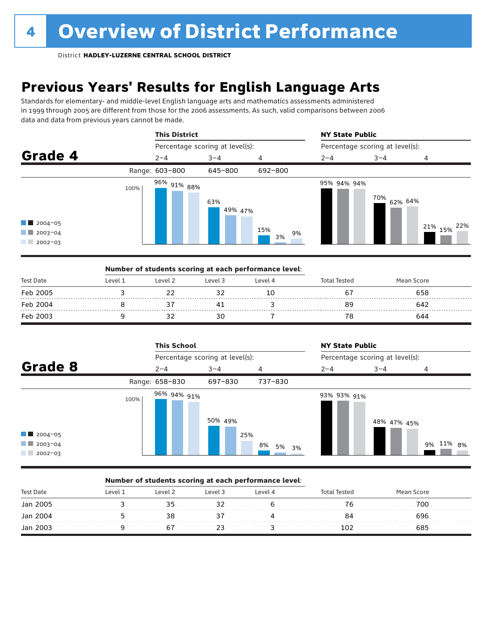### **Previous Years' Results for English Language Arts**

Standards for elementary- and middle-level English language arts and mathematics assessments administered in 1999 through 2005 are different from those for the 2006 assessments. As such, valid comparisons between 2006 data and data from previous years cannot be made.



|           |         | Number of students scoring at each performance level: |         |         |              |            |  |
|-----------|---------|-------------------------------------------------------|---------|---------|--------------|------------|--|
| Test Date | Level 1 | Level <sub>2</sub>                                    | Level 3 | Level 4 | Total Tested | Mean Score |  |
| Feb 2005  |         |                                                       |         | 10      | ь,           | 658        |  |
| Feb 2004  |         |                                                       |         |         | 89           | 642        |  |
| Feb 2003  |         |                                                       |         |         |              | 644        |  |

|                                                                             |      | <b>This School</b> |                                 |             | <b>NY State Public</b>          |             |           |  |
|-----------------------------------------------------------------------------|------|--------------------|---------------------------------|-------------|---------------------------------|-------------|-----------|--|
|                                                                             |      |                    | Percentage scoring at level(s): |             | Percentage scoring at level(s): |             |           |  |
|                                                                             |      | $2 - 4$            | $3 - 4$                         | 4           | $2 - 4$                         | $3 - 4$     | 4         |  |
|                                                                             |      | Range: 658-830     | 697-830                         | 737-830     |                                 |             |           |  |
| Grade 8<br>$\blacksquare$ 2004-05<br>$\blacksquare$ 2003-04<br>$12002 - 03$ | 100% | 96% 94% 91%        | 50% 49%<br>25%                  | 8%<br>5% 3% | 93% 93% 91%                     | 48% 47% 45% | 9% 11% 8% |  |

#### Number of students scoring at each performance level:

| <b>Test Date</b> | Level 1 | Level 2 | Level 3 | Level 4 | intal Tested | Mean Score |  |
|------------------|---------|---------|---------|---------|--------------|------------|--|
| Jan 2005         |         |         |         |         |              | 700        |  |
| Jan 2004         |         |         |         |         | 84           | 696        |  |
| Jan 2003         |         |         |         |         |              | 685        |  |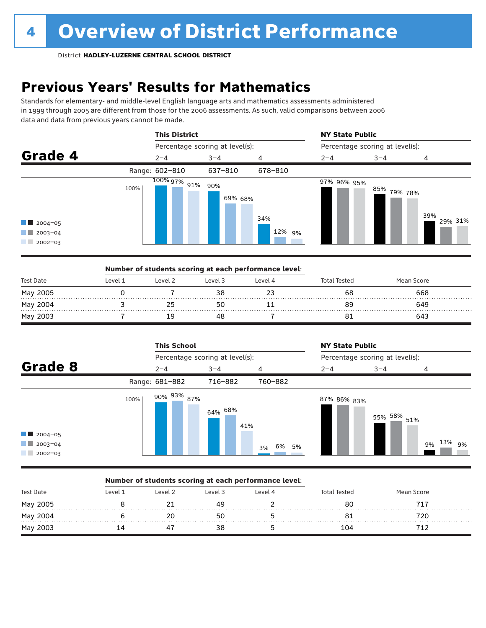### **Previous Years' Results for Mathematics**

Standards for elementary- and middle-level English language arts and mathematics assessments administered in 1999 through 2005 are different from those for the 2006 assessments. As such, valid comparisons between 2006 data and data from previous years cannot be made.



|           |         |         | Number of students scoring at each performance level: |         |                     |            |  |
|-----------|---------|---------|-------------------------------------------------------|---------|---------------------|------------|--|
| Test Date | Level 1 | Level 2 | Level 3                                               | Level 4 | <b>Total Tested</b> | Mean Score |  |
| May 2005  |         |         |                                                       |         | 68                  | 668        |  |
| May 2004  |         |         |                                                       |         | 89                  | 649        |  |
| May 2003  |         |         |                                                       |         |                     | 643        |  |

|                                                                  |      | <b>This School</b>     |                                 |                | <b>NY State Public</b> |                                 |                 |  |  |
|------------------------------------------------------------------|------|------------------------|---------------------------------|----------------|------------------------|---------------------------------|-----------------|--|--|
|                                                                  |      |                        | Percentage scoring at level(s): |                |                        | Percentage scoring at level(s): |                 |  |  |
| Grade 8                                                          |      | $2 - 4$                | $3 - 4$                         | 4              | $2 - 4$                | $3 - 4$                         | 4               |  |  |
|                                                                  |      | Range: 681-882         | 716-882                         | 760-882        |                        |                                 |                 |  |  |
| $\blacksquare$ 2004-05<br>$\blacksquare$ 2003-04<br>$12002 - 03$ | 100% | 90% <sup>93%</sup> 87% | $64\%$ $68\%$<br>41%            | 6%<br>5%<br>3% | 87% 86% <sub>83%</sub> | 55% 58% 51%                     | 13%<br>9%<br>9% |  |  |

#### Number of students scoring at each performance level:

| <b>Test Date</b> | l evel | Level 2 | Level 3 | l evel 4 | al Tested | Mean Score |  |
|------------------|--------|---------|---------|----------|-----------|------------|--|
| May 2005<br>.    |        |         | 49      |          | 80        |            |  |
| May 2004         |        |         | 50      |          |           |            |  |
| May 2003         |        |         |         |          | 104       |            |  |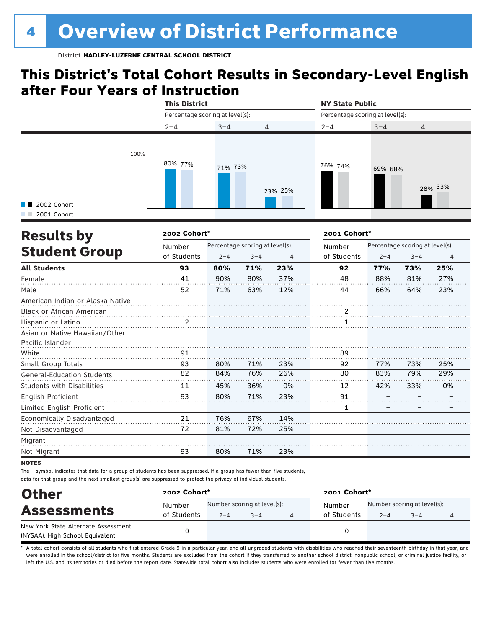### **This District's Total Cohort Results in Secondary-Level English after Four Years of Instruction**



| <b>Results by</b>                 | 2002 Cohort* |         |                                 |     | 2001 Cohort*   |         |                                 |                |
|-----------------------------------|--------------|---------|---------------------------------|-----|----------------|---------|---------------------------------|----------------|
|                                   | Number       |         | Percentage scoring at level(s): |     | Number         |         | Percentage scoring at level(s): |                |
| <b>Student Group</b>              | of Students  | $2 - 4$ | $3 - 4$                         | 4   | of Students    | $2 - 4$ | $3 - 4$                         | $\overline{4}$ |
| <b>All Students</b>               | 93           | 80%     | 71%                             | 23% | 92             | 77%     | 73%                             | 25%            |
| Female                            | 41           | 90%     | 80%                             | 37% | 48             | 88%     | 81%                             | 27%            |
| Male                              | 52           | 71%     | 63%                             | 12% | 44             | 66%     | 64%                             | 23%            |
| American Indian or Alaska Native  |              |         |                                 |     |                |         |                                 |                |
| <b>Black or African American</b>  |              |         |                                 |     | $\overline{2}$ |         |                                 |                |
| Hispanic or Latino                | 2            |         |                                 |     |                |         |                                 |                |
| Asian or Native Hawaiian/Other    |              |         |                                 |     |                |         |                                 |                |
| Pacific Islander                  |              |         |                                 |     |                |         |                                 |                |
| White                             | 91           |         |                                 |     | 89             |         |                                 |                |
| Small Group Totals                | 93           | 80%     | 71%                             | 23% | 92             | 77%     | 73%                             | 25%            |
| <b>General-Education Students</b> | 82           | 84%     | 76%                             | 26% | 80             | 83%     | 79%                             | 29%            |
| <b>Students with Disabilities</b> | 11           | 45%     | 36%                             | 0%  | 12             | 42%     | 33%                             | 0%             |
| English Proficient                | 93           | 80%     | 71%                             | 23% | 91             |         |                                 |                |
| Limited English Proficient        |              |         |                                 |     | 1              |         |                                 |                |
| Economically Disadvantaged        | 21           | 76%     | 67%                             | 14% |                |         |                                 |                |
| Not Disadvantaged                 | 72           | 81%     | 72%                             | 25% |                |         |                                 |                |
| Migrant                           |              |         |                                 |     |                |         |                                 |                |
| Not Migrant                       | 93           | 80%     | 71%                             | 23% |                |         |                                 |                |

#### **NOTES**

The – symbol indicates that data for a group of students has been suppressed. If a group has fewer than five students, data for that group and the next smallest group(s) are suppressed to protect the privacy of individual students.

| <b>Other</b>                        | 2002 Cohort* |         |                             | 2001 Cohort*          |         |                             |  |  |
|-------------------------------------|--------------|---------|-----------------------------|-----------------------|---------|-----------------------------|--|--|
| <b>Assessments</b>                  | Number       |         | Number scoring at level(s): | Number<br>of Students |         | Number scoring at level(s): |  |  |
| New York State Alternate Assessment | of Students  | $2 - 4$ | $3 - 4$                     |                       | $2 - 4$ | $3 - 4$                     |  |  |
| (NYSAA): High School Equivalent     |              |         |                             |                       |         |                             |  |  |

A total cohort consists of all students who first entered Grade 9 in a particular year, and all ungraded students with disabilities who reached their seventeenth birthday in that year, and were enrolled in the school/district for five months. Students are excluded from the cohort if they transferred to another school district, nonpublic school, or criminal justice facility, or left the U.S. and its territories or died before the report date. Statewide total cohort also includes students who were enrolled for fewer than five months.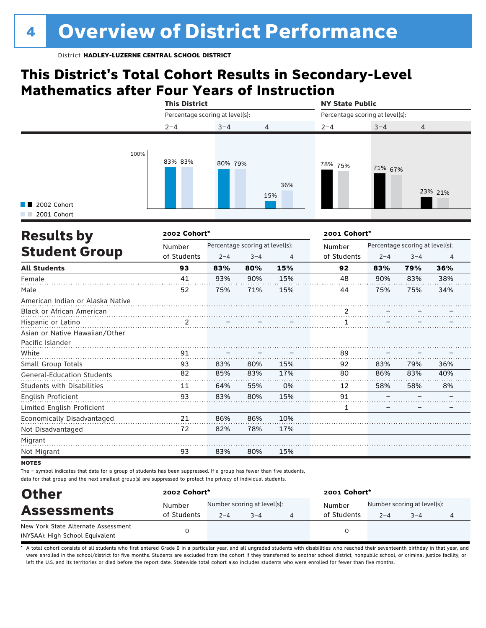### **This District's Total Cohort Results in Secondary-Level Mathematics after Four Years of Instruction**

|                            |      | <b>This District</b>            |         |                | <b>NY State Public</b>          |         |                |  |  |
|----------------------------|------|---------------------------------|---------|----------------|---------------------------------|---------|----------------|--|--|
|                            |      | Percentage scoring at level(s): |         |                | Percentage scoring at level(s): |         |                |  |  |
|                            |      | $2 - 4$                         | $3 - 4$ | $\overline{4}$ | $2 - 4$                         | $3 - 4$ | $\overline{4}$ |  |  |
|                            |      |                                 |         |                |                                 |         |                |  |  |
| 2002 Cohort<br>2001 Cohort | 100% | 83% 83%                         | 80% 79% | 36%<br>15%     | 78% 75%                         | 71% 67% | 23% 21%        |  |  |
|                            |      |                                 |         |                |                                 |         |                |  |  |

| <b>Results by</b><br><b>Student Group</b> | 2002 Cohort*          |                                 | 2001 Cohort* |     |             |                                 |         |     |
|-------------------------------------------|-----------------------|---------------------------------|--------------|-----|-------------|---------------------------------|---------|-----|
|                                           | Number<br>of Students | Percentage scoring at level(s): |              |     | Number      | Percentage scoring at level(s): |         |     |
|                                           |                       | $2 - 4$                         | $3 - 4$      | 4   | of Students | $2 - 4$                         | $3 - 4$ | 4   |
| <b>All Students</b>                       | 93                    | 83%                             | 80%          | 15% | 92          | 83%                             | 79%     | 36% |
| Female                                    | 41                    | 93%                             | 90%          | 15% | 48          | 90%                             | 83%     | 38% |
| Male                                      | 52                    | 75%                             | 71%          | 15% | 44          | 75%                             | 75%     | 34% |
| American Indian or Alaska Native          |                       |                                 |              |     |             |                                 |         |     |
| <b>Black or African American</b>          |                       |                                 |              |     |             |                                 |         |     |
| Hispanic or Latino                        | 2                     |                                 |              |     |             |                                 |         |     |
| Asian or Native Hawaiian/Other            |                       |                                 |              |     |             |                                 |         |     |
| Pacific Islander                          |                       |                                 |              |     |             |                                 |         |     |
| White                                     | 91                    |                                 |              |     | 89          |                                 |         |     |
| Small Group Totals                        | 93                    | 83%                             | 80%          | 15% | 92          | 83%                             | 79%     | 36% |
| General-Education Students                | 82                    | 85%                             | 83%          | 17% | 80          | 86%                             | 83%     | 40% |
| <b>Students with Disabilities</b>         | 11                    | 64%                             | 55%          | 0%  | 12          | 58%                             | 58%     | 8%  |
| English Proficient                        | 93                    | 83%                             | 80%          | 15% | 91          |                                 |         |     |
| Limited English Proficient                |                       |                                 |              |     | 1           |                                 |         |     |
| Economically Disadvantaged                | 21                    | 86%                             | 86%          | 10% |             |                                 |         |     |
| Not Disadvantaged                         | 72                    | 82%                             | 78%          | 17% |             |                                 |         |     |
| Migrant                                   |                       |                                 |              |     |             |                                 |         |     |
| Not Migrant                               | 93                    | 83%                             | 80%          | 15% |             |                                 |         |     |

**NOTES** 

The – symbol indicates that data for a group of students has been suppressed. If a group has fewer than five students, data for that group and the next smallest group(s) are suppressed to protect the privacy of individual students.

| <b>Other</b><br><b>Assessments</b>  | 2002 Cohort* |                             |         |  | 2001 Cohort* |                             |         |  |  |
|-------------------------------------|--------------|-----------------------------|---------|--|--------------|-----------------------------|---------|--|--|
|                                     | Number       | Number scoring at level(s): |         |  | Number       | Number scoring at level(s): |         |  |  |
|                                     | of Students  | $2 - 4$                     | $3 - 4$ |  | of Students  | $2 - 4$                     | $3 - 4$ |  |  |
| New York State Alternate Assessment |              |                             |         |  |              |                             |         |  |  |
| (NYSAA): High School Equivalent     |              |                             |         |  |              |                             |         |  |  |

A total cohort consists of all students who first entered Grade 9 in a particular year, and all ungraded students with disabilities who reached their seventeenth birthday in that year, and were enrolled in the school/district for five months. Students are excluded from the cohort if they transferred to another school district, nonpublic school, or criminal justice facility, or left the U.S. and its territories or died before the report date. Statewide total cohort also includes students who were enrolled for fewer than five months.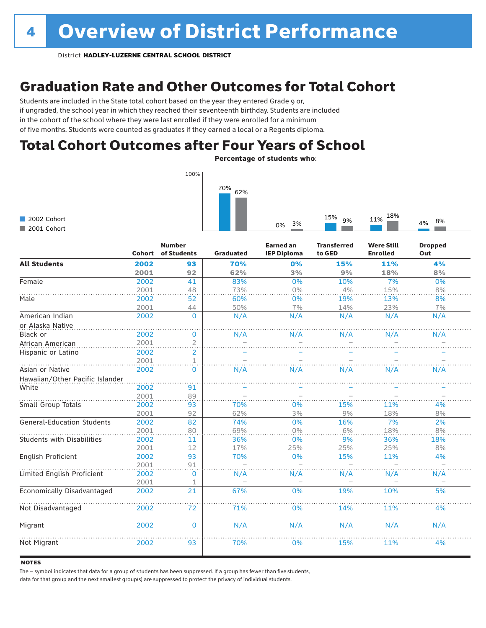### Graduation Rate and Other Outcomes for Total Cohort

Students are included in the State total cohort based on the year they entered Grade 9 or, if ungraded, the school year in which they reached their seventeenth birthday. Students are included in the cohort of the school where they were last enrolled if they were enrolled for a minimum of five months. Students were counted as graduates if they earned a local or a Regents diploma.

### Total Cohort Outcomes after Four Years of School

Percentage of students who:



|                                   | <b>Cohort</b> | <b>Number</b><br>of Students | <b>Graduated</b> | <b>Earned an</b><br><b>IEP Diploma</b> | <b>Transferred</b><br>to GED | <b>Were Still</b><br><b>Enrolled</b> | <b>Dropped</b><br>Out |
|-----------------------------------|---------------|------------------------------|------------------|----------------------------------------|------------------------------|--------------------------------------|-----------------------|
| <b>All Students</b>               | 2002          | 93                           | 70%              | 0%                                     | 15%                          | 11%                                  | 4%                    |
|                                   | 2001          | 92                           | 62%              | 3%                                     | 9%                           | 18%                                  | 8%                    |
| Female                            | 2002          | 41                           | 83%              | 0%                                     | 10%                          | 7%                                   | 0%                    |
|                                   | 2001          | 48                           | 73%              | 0%                                     | 4%                           | 15%                                  | 8%                    |
| Male                              | 2002          | 52                           | 60%              | 0%                                     | 19%                          | 13%                                  | 8%                    |
|                                   | 2001          | 44                           | 50%              | 7%                                     | 14%                          | 23%                                  | 7%                    |
| American Indian                   | 2002          | $\Omega$                     | N/A              | N/A                                    | N/A                          | N/A                                  | N/A                   |
| or Alaska Native                  |               |                              |                  |                                        |                              |                                      |                       |
| Black or                          | 2002          | 0                            | N/A              | N/A                                    | N/A                          | N/A                                  | N/A                   |
| African American                  | 2001          | $\overline{2}$               |                  |                                        |                              |                                      |                       |
| Hispanic or Latino                | 2002          | $\overline{2}$               |                  |                                        |                              |                                      |                       |
|                                   | 2001          | 1                            |                  |                                        |                              |                                      |                       |
| Asian or Native                   | 2002          | $\Omega$                     | N/A              | N/A                                    | N/A                          | N/A                                  | N/A                   |
| Hawaiian/Other Pacific Islander   |               |                              |                  |                                        |                              |                                      |                       |
| White                             | 2002          | 91                           |                  |                                        |                              |                                      |                       |
|                                   | 2001          | 89                           |                  |                                        |                              |                                      |                       |
| Small Group Totals                | 2002          | 93                           | 70%              | 0%                                     | 15%                          | 11%                                  | 4%                    |
|                                   | 2001          | 92                           | 62%              | 3%                                     | 9%                           | 18%                                  | 8%                    |
| <b>General-Education Students</b> | 2002          | 82                           | 74%              | 0%                                     | 16%                          | 7%                                   | 2%                    |
|                                   | 2001          | 80                           | 69%              | 0%                                     | 6%                           | 18%                                  | 8%                    |
| <b>Students with Disabilities</b> | 2002          | 11                           | 36%              | 0%                                     | 9%                           | 36%                                  | 18%                   |
|                                   | 2001          | 12                           | 17%              | 25%                                    | 25%                          | 25%                                  | 8%                    |
| English Proficient                | 2002          | 93                           | 70%              | 0%                                     | 15%                          | 11%                                  | 4%                    |
|                                   | 2001          | 91                           |                  |                                        |                              |                                      |                       |
| Limited English Proficient        | 2002          | 0                            | N/A              | N/A                                    | N/A                          | N/A                                  | N/A                   |
|                                   | 2001          |                              |                  |                                        |                              |                                      |                       |
| Economically Disadvantaged        | 2002          | 21                           | 67%              | 0%                                     | 19%                          | 10%                                  | 5%                    |
| Not Disadvantaged                 | 2002          | 72                           | 71%              | 0%                                     | 14%                          | 11%                                  | 4%                    |
| Migrant                           | 2002          | $\Omega$                     | N/A              | N/A                                    | N/A                          | N/A                                  | N/A                   |
| Not Migrant                       | 2002          | 93                           | 70%              | 0%                                     | 15%                          | 11%                                  | 4%                    |

#### **NOTES**

The – symbol indicates that data for a group of s tudents has been suppressed. If a group has fewer than five students,

data for that group and the next smallest group(s) are suppressed to protect the privacy of individual students.